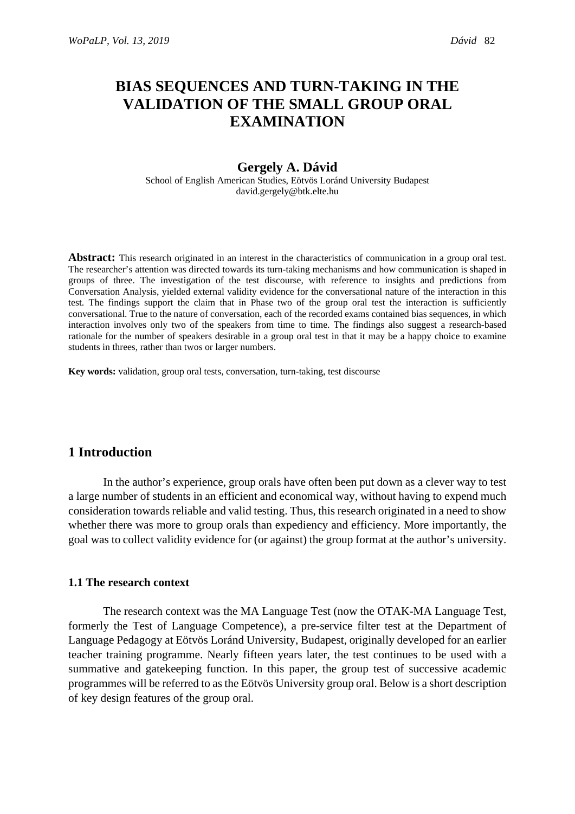# **BIAS SEQUENCES AND TURN-TAKING IN THE VALIDATION OF THE SMALL GROUP ORAL EXAMINATION**

# **Gergely A. Dávid**

School of English American Studies, Eötvös Loránd University Budapest david.gergely@btk.elte.hu

**Abstract:** This research originated in an interest in the characteristics of communication in a group oral test. The researcher's attention was directed towards its turn-taking mechanisms and how communication is shaped in groups of three. The investigation of the test discourse, with reference to insights and predictions from Conversation Analysis, yielded external validity evidence for the conversational nature of the interaction in this test. The findings support the claim that in Phase two of the group oral test the interaction is sufficiently conversational. True to the nature of conversation, each of the recorded exams contained bias sequences, in which interaction involves only two of the speakers from time to time. The findings also suggest a research-based rationale for the number of speakers desirable in a group oral test in that it may be a happy choice to examine students in threes, rather than twos or larger numbers.

**Key words:** validation, group oral tests, conversation, turn-taking, test discourse

# **1 Introduction**

In the author's experience, group orals have often been put down as a clever way to test a large number of students in an efficient and economical way, without having to expend much consideration towards reliable and valid testing. Thus, this research originated in a need to show whether there was more to group orals than expediency and efficiency. More importantly, the goal was to collect validity evidence for (or against) the group format at the author's university.

#### **1.1 The research context**

The research context was the MA Language Test (now the OTAK-MA Language Test, formerly the Test of Language Competence), a pre-service filter test at the Department of Language Pedagogy at Eötvös Loránd University, Budapest, originally developed for an earlier teacher training programme. Nearly fifteen years later, the test continues to be used with a summative and gatekeeping function. In this paper, the group test of successive academic programmes will be referred to as the Eötvös University group oral. Below is a short description of key design features of the group oral.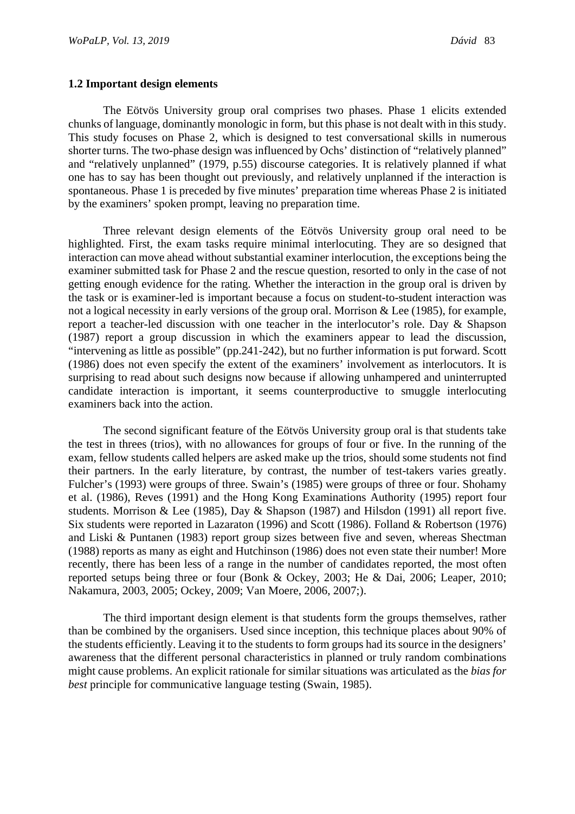#### **1.2 Important design elements**

The Eötvös University group oral comprises two phases. Phase 1 elicits extended chunks of language, dominantly monologic in form, but this phase is not dealt with in this study. This study focuses on Phase 2, which is designed to test conversational skills in numerous shorter turns. The two-phase design was influenced by Ochs' distinction of "relatively planned" and "relatively unplanned" (1979, p.55) discourse categories. It is relatively planned if what one has to say has been thought out previously, and relatively unplanned if the interaction is spontaneous. Phase 1 is preceded by five minutes' preparation time whereas Phase 2 is initiated by the examiners' spoken prompt, leaving no preparation time.

Three relevant design elements of the Eötvös University group oral need to be highlighted. First, the exam tasks require minimal interlocuting. They are so designed that interaction can move ahead without substantial examiner interlocution, the exceptions being the examiner submitted task for Phase 2 and the rescue question, resorted to only in the case of not getting enough evidence for the rating. Whether the interaction in the group oral is driven by the task or is examiner-led is important because a focus on student-to-student interaction was not a logical necessity in early versions of the group oral. Morrison & Lee (1985), for example, report a teacher-led discussion with one teacher in the interlocutor's role. Day & Shapson (1987) report a group discussion in which the examiners appear to lead the discussion, "intervening as little as possible" (pp.241-242), but no further information is put forward. Scott (1986) does not even specify the extent of the examiners' involvement as interlocutors. It is surprising to read about such designs now because if allowing unhampered and uninterrupted candidate interaction is important, it seems counterproductive to smuggle interlocuting examiners back into the action.

The second significant feature of the Eötvös University group oral is that students take the test in threes (trios), with no allowances for groups of four or five. In the running of the exam, fellow students called helpers are asked make up the trios, should some students not find their partners. In the early literature, by contrast, the number of test-takers varies greatly. Fulcher's (1993) were groups of three. Swain's (1985) were groups of three or four. Shohamy et al. (1986), Reves (1991) and the Hong Kong Examinations Authority (1995) report four students. Morrison & Lee (1985), Day & Shapson (1987) and Hilsdon (1991) all report five. Six students were reported in Lazaraton (1996) and Scott (1986). Folland & Robertson (1976) and Liski & Puntanen (1983) report group sizes between five and seven, whereas Shectman (1988) reports as many as eight and Hutchinson (1986) does not even state their number! More recently, there has been less of a range in the number of candidates reported, the most often reported setups being three or four (Bonk & Ockey, 2003; He & Dai, 2006; Leaper, 2010; Nakamura, 2003, 2005; Ockey, 2009; Van Moere, 2006, 2007;).

The third important design element is that students form the groups themselves, rather than be combined by the organisers. Used since inception, this technique places about 90% of the students efficiently. Leaving it to the students to form groups had its source in the designers' awareness that the different personal characteristics in planned or truly random combinations might cause problems. An explicit rationale for similar situations was articulated as the *bias for best* principle for communicative language testing (Swain, 1985).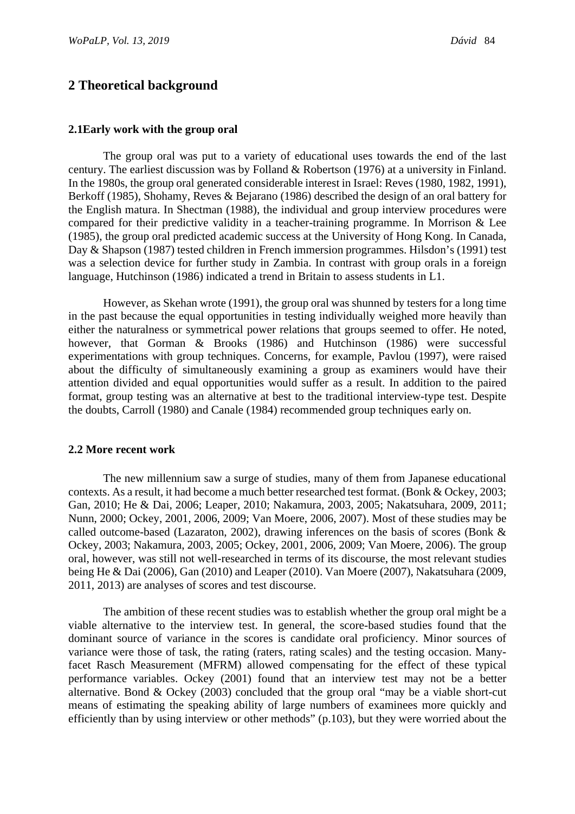# **2 Theoretical background**

#### **2.1Early work with the group oral**

The group oral was put to a variety of educational uses towards the end of the last century. The earliest discussion was by Folland & Robertson (1976) at a university in Finland. In the 1980s, the group oral generated considerable interest in Israel: Reves (1980, 1982, 1991), Berkoff (1985), Shohamy, Reves & Bejarano (1986) described the design of an oral battery for the English matura. In Shectman (1988), the individual and group interview procedures were compared for their predictive validity in a teacher-training programme. In Morrison & Lee (1985), the group oral predicted academic success at the University of Hong Kong. In Canada, Day & Shapson (1987) tested children in French immersion programmes. Hilsdon's (1991) test was a selection device for further study in Zambia. In contrast with group orals in a foreign language, Hutchinson (1986) indicated a trend in Britain to assess students in L1.

However, as Skehan wrote (1991), the group oral was shunned by testers for a long time in the past because the equal opportunities in testing individually weighed more heavily than either the naturalness or symmetrical power relations that groups seemed to offer. He noted, however, that Gorman & Brooks (1986) and Hutchinson (1986) were successful experimentations with group techniques. Concerns, for example, Pavlou (1997), were raised about the difficulty of simultaneously examining a group as examiners would have their attention divided and equal opportunities would suffer as a result. In addition to the paired format, group testing was an alternative at best to the traditional interview-type test. Despite the doubts, Carroll (1980) and Canale (1984) recommended group techniques early on.

#### **2.2 More recent work**

The new millennium saw a surge of studies, many of them from Japanese educational contexts. As a result, it had become a much better researched test format. (Bonk & Ockey, 2003; Gan, 2010; He & Dai, 2006; Leaper, 2010; Nakamura, 2003, 2005; Nakatsuhara, 2009, 2011; Nunn, 2000; Ockey, 2001, 2006, 2009; Van Moere, 2006, 2007). Most of these studies may be called outcome-based (Lazaraton, 2002), drawing inferences on the basis of scores (Bonk & Ockey, 2003; Nakamura, 2003, 2005; Ockey, 2001, 2006, 2009; Van Moere, 2006). The group oral, however, was still not well-researched in terms of its discourse, the most relevant studies being He & Dai (2006), Gan (2010) and Leaper (2010). Van Moere (2007), Nakatsuhara (2009, 2011, 2013) are analyses of scores and test discourse.

The ambition of these recent studies was to establish whether the group oral might be a viable alternative to the interview test. In general, the score-based studies found that the dominant source of variance in the scores is candidate oral proficiency. Minor sources of variance were those of task, the rating (raters, rating scales) and the testing occasion. Manyfacet Rasch Measurement (MFRM) allowed compensating for the effect of these typical performance variables. Ockey (2001) found that an interview test may not be a better alternative. Bond & Ockey (2003) concluded that the group oral "may be a viable short-cut means of estimating the speaking ability of large numbers of examinees more quickly and efficiently than by using interview or other methods" (p.103), but they were worried about the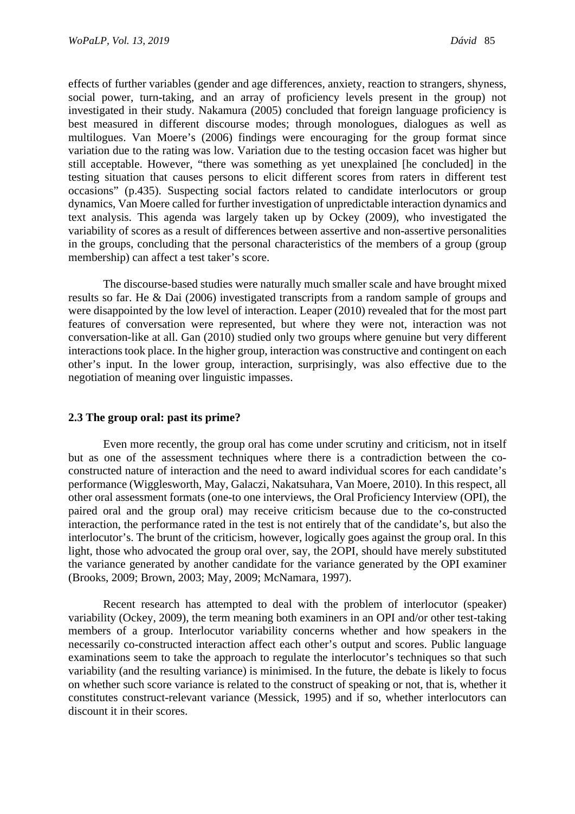effects of further variables (gender and age differences, anxiety, reaction to strangers, shyness, social power, turn-taking, and an array of proficiency levels present in the group) not investigated in their study. Nakamura (2005) concluded that foreign language proficiency is best measured in different discourse modes; through monologues, dialogues as well as multilogues. Van Moere's (2006) findings were encouraging for the group format since variation due to the rating was low. Variation due to the testing occasion facet was higher but still acceptable. However, "there was something as yet unexplained [he concluded] in the testing situation that causes persons to elicit different scores from raters in different test occasions" (p.435). Suspecting social factors related to candidate interlocutors or group dynamics, Van Moere called for further investigation of unpredictable interaction dynamics and text analysis. This agenda was largely taken up by Ockey (2009), who investigated the variability of scores as a result of differences between assertive and non-assertive personalities in the groups, concluding that the personal characteristics of the members of a group (group membership) can affect a test taker's score.

The discourse-based studies were naturally much smaller scale and have brought mixed results so far. He & Dai (2006) investigated transcripts from a random sample of groups and were disappointed by the low level of interaction. Leaper (2010) revealed that for the most part features of conversation were represented, but where they were not, interaction was not conversation-like at all. Gan (2010) studied only two groups where genuine but very different interactions took place. In the higher group, interaction was constructive and contingent on each other's input. In the lower group, interaction, surprisingly, was also effective due to the negotiation of meaning over linguistic impasses.

# **2.3 The group oral: past its prime?**

Even more recently, the group oral has come under scrutiny and criticism, not in itself but as one of the assessment techniques where there is a contradiction between the coconstructed nature of interaction and the need to award individual scores for each candidate's performance (Wigglesworth, May, Galaczi, Nakatsuhara, Van Moere, 2010). In this respect, all other oral assessment formats (one-to one interviews, the Oral Proficiency Interview (OPI), the paired oral and the group oral) may receive criticism because due to the co-constructed interaction, the performance rated in the test is not entirely that of the candidate's, but also the interlocutor's. The brunt of the criticism, however, logically goes against the group oral. In this light, those who advocated the group oral over, say, the 2OPI, should have merely substituted the variance generated by another candidate for the variance generated by the OPI examiner (Brooks, 2009; Brown, 2003; May, 2009; McNamara, 1997).

Recent research has attempted to deal with the problem of interlocutor (speaker) variability (Ockey, 2009), the term meaning both examiners in an OPI and/or other test-taking members of a group. Interlocutor variability concerns whether and how speakers in the necessarily co-constructed interaction affect each other's output and scores. Public language examinations seem to take the approach to regulate the interlocutor's techniques so that such variability (and the resulting variance) is minimised. In the future, the debate is likely to focus on whether such score variance is related to the construct of speaking or not, that is, whether it constitutes construct-relevant variance (Messick, 1995) and if so, whether interlocutors can discount it in their scores.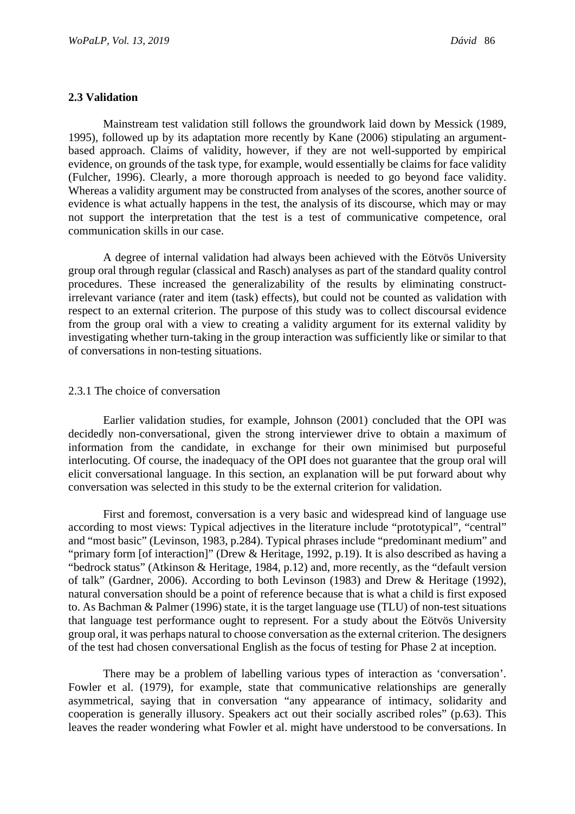### **2.3 Validation**

Mainstream test validation still follows the groundwork laid down by Messick (1989, 1995), followed up by its adaptation more recently by Kane (2006) stipulating an argumentbased approach. Claims of validity, however, if they are not well-supported by empirical evidence, on grounds of the task type, for example, would essentially be claims for face validity (Fulcher, 1996). Clearly, a more thorough approach is needed to go beyond face validity. Whereas a validity argument may be constructed from analyses of the scores, another source of evidence is what actually happens in the test, the analysis of its discourse, which may or may not support the interpretation that the test is a test of communicative competence, oral communication skills in our case.

A degree of internal validation had always been achieved with the Eötvös University group oral through regular (classical and Rasch) analyses as part of the standard quality control procedures. These increased the generalizability of the results by eliminating constructirrelevant variance (rater and item (task) effects), but could not be counted as validation with respect to an external criterion. The purpose of this study was to collect discoursal evidence from the group oral with a view to creating a validity argument for its external validity by investigating whether turn-taking in the group interaction was sufficiently like or similar to that of conversations in non-testing situations.

### 2.3.1 The choice of conversation

Earlier validation studies, for example, Johnson (2001) concluded that the OPI was decidedly non-conversational, given the strong interviewer drive to obtain a maximum of information from the candidate, in exchange for their own minimised but purposeful interlocuting. Of course, the inadequacy of the OPI does not guarantee that the group oral will elicit conversational language. In this section, an explanation will be put forward about why conversation was selected in this study to be the external criterion for validation.

First and foremost, conversation is a very basic and widespread kind of language use according to most views: Typical adjectives in the literature include "prototypical", "central" and "most basic" (Levinson, 1983, p.284). Typical phrases include "predominant medium" and "primary form [of interaction]" (Drew & Heritage, 1992, p.19). It is also described as having a "bedrock status" (Atkinson & Heritage, 1984, p.12) and, more recently, as the "default version of talk" (Gardner, 2006). According to both Levinson (1983) and Drew & Heritage (1992), natural conversation should be a point of reference because that is what a child is first exposed to. As Bachman & Palmer (1996) state, it is the target language use (TLU) of non-test situations that language test performance ought to represent. For a study about the Eötvös University group oral, it was perhaps natural to choose conversation as the external criterion. The designers of the test had chosen conversational English as the focus of testing for Phase 2 at inception.

There may be a problem of labelling various types of interaction as 'conversation'. Fowler et al. (1979), for example, state that communicative relationships are generally asymmetrical, saying that in conversation "any appearance of intimacy, solidarity and cooperation is generally illusory. Speakers act out their socially ascribed roles" (p.63). This leaves the reader wondering what Fowler et al. might have understood to be conversations. In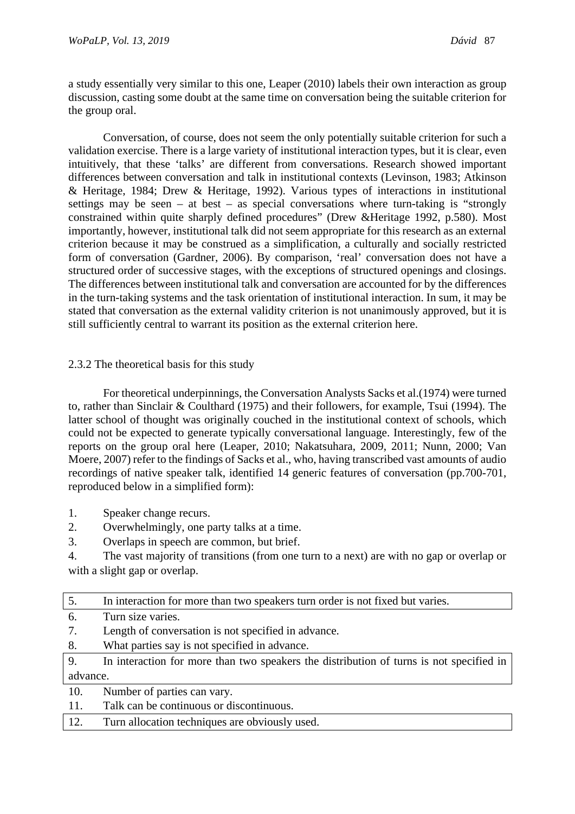a study essentially very similar to this one, Leaper (2010) labels their own interaction as group discussion, casting some doubt at the same time on conversation being the suitable criterion for the group oral.

Conversation, of course, does not seem the only potentially suitable criterion for such a validation exercise. There is a large variety of institutional interaction types, but it is clear, even intuitively, that these 'talks' are different from conversations. Research showed important differences between conversation and talk in institutional contexts (Levinson, 1983; Atkinson & Heritage, 1984; Drew & Heritage, 1992). Various types of interactions in institutional settings may be seen – at best – as special conversations where turn-taking is "strongly constrained within quite sharply defined procedures" (Drew &Heritage 1992, p.580). Most importantly, however, institutional talk did not seem appropriate for this research as an external criterion because it may be construed as a simplification, a culturally and socially restricted form of conversation (Gardner, 2006). By comparison, 'real' conversation does not have a structured order of successive stages, with the exceptions of structured openings and closings. The differences between institutional talk and conversation are accounted for by the differences in the turn-taking systems and the task orientation of institutional interaction. In sum, it may be stated that conversation as the external validity criterion is not unanimously approved, but it is still sufficiently central to warrant its position as the external criterion here.

# 2.3.2 The theoretical basis for this study

For theoretical underpinnings, the Conversation Analysts Sacks et al.(1974) were turned to, rather than Sinclair & Coulthard (1975) and their followers, for example, Tsui (1994). The latter school of thought was originally couched in the institutional context of schools, which could not be expected to generate typically conversational language. Interestingly, few of the reports on the group oral here (Leaper, 2010; Nakatsuhara, 2009, 2011; Nunn, 2000; Van Moere, 2007) refer to the findings of Sacks et al., who, having transcribed vast amounts of audio recordings of native speaker talk, identified 14 generic features of conversation (pp.700-701, reproduced below in a simplified form):

- 1. Speaker change recurs.
- 2. Overwhelmingly, one party talks at a time.
- 3. Overlaps in speech are common, but brief.
- 4. The vast majority of transitions (from one turn to a next) are with no gap or overlap or with a slight gap or overlap.

| 5.       | In interaction for more than two speakers turn order is not fixed but varies.           |
|----------|-----------------------------------------------------------------------------------------|
| 6.       | Turn size varies.                                                                       |
| 7.       | Length of conversation is not specified in advance.                                     |
| 8.       | What parties say is not specified in advance.                                           |
| 9.       | In interaction for more than two speakers the distribution of turns is not specified in |
| advance. |                                                                                         |
| 10.      | Number of parties can vary.                                                             |
| 11.      | Talk can be continuous or discontinuous.                                                |
| 12.      | Turn allocation techniques are obviously used.                                          |
|          |                                                                                         |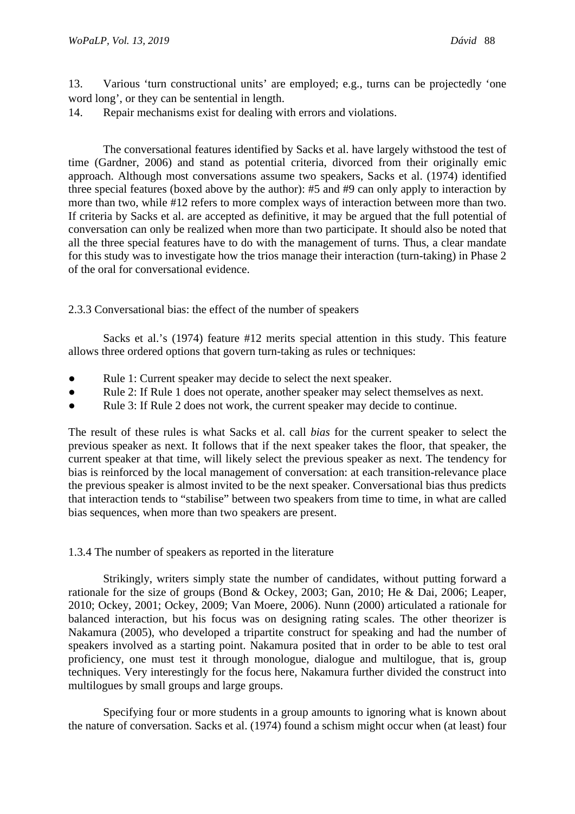13. Various 'turn constructional units' are employed; e.g., turns can be projectedly 'one word long', or they can be sentential in length.

14. Repair mechanisms exist for dealing with errors and violations.

The conversational features identified by Sacks et al. have largely withstood the test of time (Gardner, 2006) and stand as potential criteria, divorced from their originally emic approach. Although most conversations assume two speakers, Sacks et al. (1974) identified three special features (boxed above by the author): #5 and #9 can only apply to interaction by more than two, while #12 refers to more complex ways of interaction between more than two. If criteria by Sacks et al. are accepted as definitive, it may be argued that the full potential of conversation can only be realized when more than two participate. It should also be noted that all the three special features have to do with the management of turns. Thus, a clear mandate for this study was to investigate how the trios manage their interaction (turn-taking) in Phase 2 of the oral for conversational evidence.

2.3.3 Conversational bias: the effect of the number of speakers

Sacks et al.'s (1974) feature #12 merits special attention in this study. This feature allows three ordered options that govern turn-taking as rules or techniques:

- Rule 1: Current speaker may decide to select the next speaker.
- Rule 2: If Rule 1 does not operate, another speaker may select themselves as next.
- Rule 3: If Rule 2 does not work, the current speaker may decide to continue.

The result of these rules is what Sacks et al. call *bias* for the current speaker to select the previous speaker as next. It follows that if the next speaker takes the floor, that speaker, the current speaker at that time, will likely select the previous speaker as next. The tendency for bias is reinforced by the local management of conversation: at each transition-relevance place the previous speaker is almost invited to be the next speaker. Conversational bias thus predicts that interaction tends to "stabilise" between two speakers from time to time, in what are called bias sequences, when more than two speakers are present.

# 1.3.4 The number of speakers as reported in the literature

Strikingly, writers simply state the number of candidates, without putting forward a rationale for the size of groups (Bond & Ockey, 2003; Gan, 2010; He & Dai, 2006; Leaper, 2010; Ockey, 2001; Ockey, 2009; Van Moere, 2006). Nunn (2000) articulated a rationale for balanced interaction, but his focus was on designing rating scales. The other theorizer is Nakamura (2005), who developed a tripartite construct for speaking and had the number of speakers involved as a starting point. Nakamura posited that in order to be able to test oral proficiency, one must test it through monologue, dialogue and multilogue, that is, group techniques. Very interestingly for the focus here, Nakamura further divided the construct into multilogues by small groups and large groups.

Specifying four or more students in a group amounts to ignoring what is known about the nature of conversation. Sacks et al. (1974) found a schism might occur when (at least) four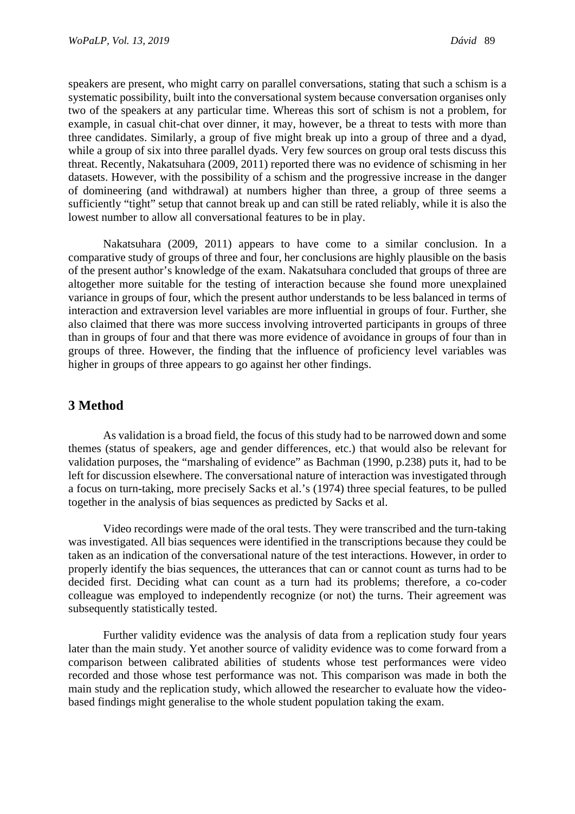speakers are present, who might carry on parallel conversations, stating that such a schism is a systematic possibility, built into the conversational system because conversation organises only two of the speakers at any particular time. Whereas this sort of schism is not a problem, for example, in casual chit-chat over dinner, it may, however, be a threat to tests with more than three candidates. Similarly, a group of five might break up into a group of three and a dyad, while a group of six into three parallel dyads. Very few sources on group oral tests discuss this threat. Recently, Nakatsuhara (2009, 2011) reported there was no evidence of schisming in her datasets. However, with the possibility of a schism and the progressive increase in the danger of domineering (and withdrawal) at numbers higher than three, a group of three seems a sufficiently "tight" setup that cannot break up and can still be rated reliably, while it is also the lowest number to allow all conversational features to be in play.

Nakatsuhara (2009, 2011) appears to have come to a similar conclusion. In a comparative study of groups of three and four, her conclusions are highly plausible on the basis of the present author's knowledge of the exam. Nakatsuhara concluded that groups of three are altogether more suitable for the testing of interaction because she found more unexplained variance in groups of four, which the present author understands to be less balanced in terms of interaction and extraversion level variables are more influential in groups of four. Further, she also claimed that there was more success involving introverted participants in groups of three than in groups of four and that there was more evidence of avoidance in groups of four than in groups of three. However, the finding that the influence of proficiency level variables was higher in groups of three appears to go against her other findings.

# **3 Method**

As validation is a broad field, the focus of this study had to be narrowed down and some themes (status of speakers, age and gender differences, etc.) that would also be relevant for validation purposes, the "marshaling of evidence" as Bachman (1990, p.238) puts it, had to be left for discussion elsewhere. The conversational nature of interaction was investigated through a focus on turn-taking, more precisely Sacks et al.'s (1974) three special features, to be pulled together in the analysis of bias sequences as predicted by Sacks et al.

Video recordings were made of the oral tests. They were transcribed and the turn-taking was investigated. All bias sequences were identified in the transcriptions because they could be taken as an indication of the conversational nature of the test interactions. However, in order to properly identify the bias sequences, the utterances that can or cannot count as turns had to be decided first. Deciding what can count as a turn had its problems; therefore, a co-coder colleague was employed to independently recognize (or not) the turns. Their agreement was subsequently statistically tested.

Further validity evidence was the analysis of data from a replication study four years later than the main study. Yet another source of validity evidence was to come forward from a comparison between calibrated abilities of students whose test performances were video recorded and those whose test performance was not. This comparison was made in both the main study and the replication study, which allowed the researcher to evaluate how the videobased findings might generalise to the whole student population taking the exam.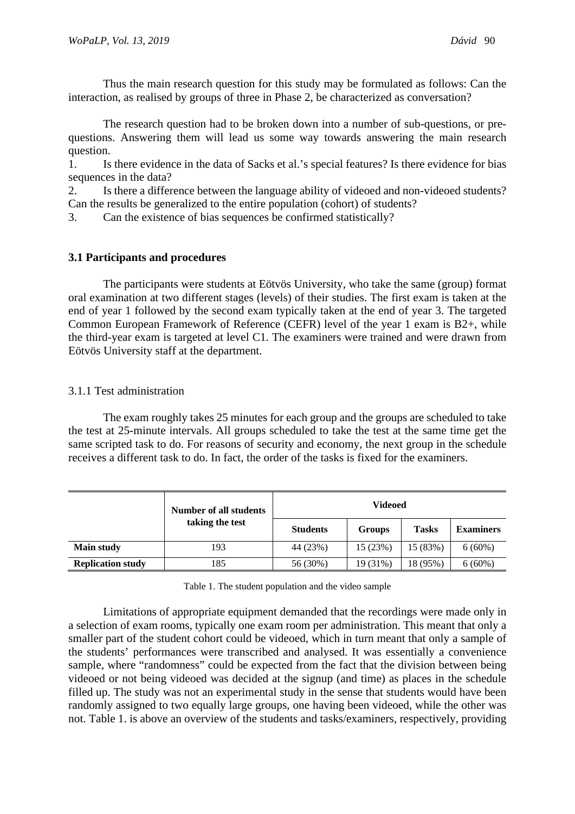Thus the main research question for this study may be formulated as follows: Can the interaction, as realised by groups of three in Phase 2, be characterized as conversation?

The research question had to be broken down into a number of sub-questions, or prequestions. Answering them will lead us some way towards answering the main research question.

1. Is there evidence in the data of Sacks et al.'s special features? Is there evidence for bias sequences in the data?

2. Is there a difference between the language ability of videoed and non-videoed students? Can the results be generalized to the entire population (cohort) of students?

3. Can the existence of bias sequences be confirmed statistically?

# **3.1 Participants and procedures**

The participants were students at Eötvös University, who take the same (group) format oral examination at two different stages (levels) of their studies. The first exam is taken at the end of year 1 followed by the second exam typically taken at the end of year 3. The targeted Common European Framework of Reference (CEFR) level of the year 1 exam is B2+, while the third-year exam is targeted at level C1. The examiners were trained and were drawn from Eötvös University staff at the department.

# 3.1.1 Test administration

The exam roughly takes 25 minutes for each group and the groups are scheduled to take the test at 25-minute intervals. All groups scheduled to take the test at the same time get the same scripted task to do. For reasons of security and economy, the next group in the schedule receives a different task to do. In fact, the order of the tasks is fixed for the examiners.

|                          | Number of all students | <b>Videoed</b>  |          |              |                  |  |
|--------------------------|------------------------|-----------------|----------|--------------|------------------|--|
| taking the test          |                        | <b>Students</b> | Groups   | <b>Tasks</b> | <b>Examiners</b> |  |
| <b>Main study</b>        | 193                    | 44 (23%)        | 15 (23%) | 15 (83%)     | $6(60\%)$        |  |
| <b>Replication study</b> | 185                    | 56 (30%)        | 19 (31%) | 18 (95%)     | $6(60\%)$        |  |

| Table 1. The student population and the video sample |  |  |
|------------------------------------------------------|--|--|
|                                                      |  |  |

Limitations of appropriate equipment demanded that the recordings were made only in a selection of exam rooms, typically one exam room per administration. This meant that only a smaller part of the student cohort could be videoed, which in turn meant that only a sample of the students' performances were transcribed and analysed. It was essentially a convenience sample, where "randomness" could be expected from the fact that the division between being videoed or not being videoed was decided at the signup (and time) as places in the schedule filled up. The study was not an experimental study in the sense that students would have been randomly assigned to two equally large groups, one having been videoed, while the other was not. Table 1. is above an overview of the students and tasks/examiners, respectively, providing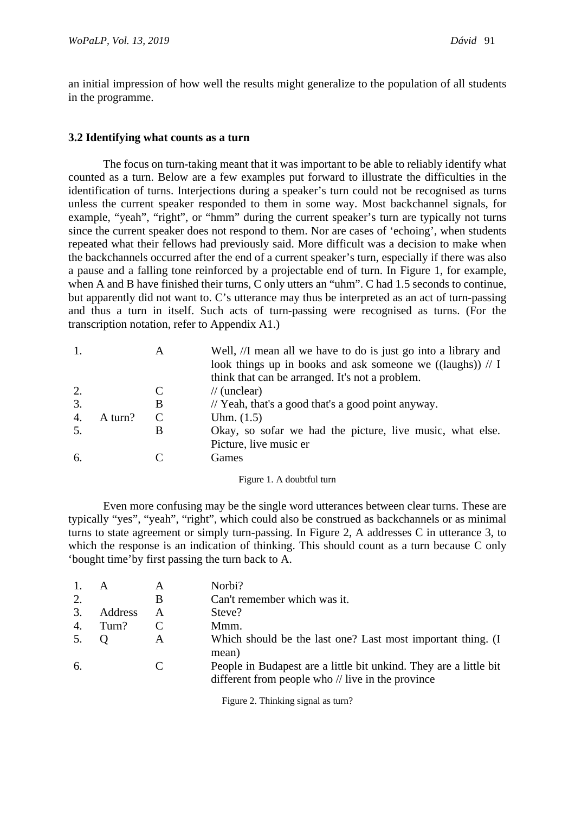an initial impression of how well the results might generalize to the population of all students in the programme.

### **3.2 Identifying what counts as a turn**

The focus on turn-taking meant that it was important to be able to reliably identify what counted as a turn. Below are a few examples put forward to illustrate the difficulties in the identification of turns. Interjections during a speaker's turn could not be recognised as turns unless the current speaker responded to them in some way. Most backchannel signals, for example, "yeah", "right", or "hmm" during the current speaker's turn are typically not turns since the current speaker does not respond to them. Nor are cases of 'echoing', when students repeated what their fellows had previously said. More difficult was a decision to make when the backchannels occurred after the end of a current speaker's turn, especially if there was also a pause and a falling tone reinforced by a projectable end of turn. In Figure 1, for example, when A and B have finished their turns, C only utters an "uhm". C had 1.5 seconds to continue, but apparently did not want to. C's utterance may thus be interpreted as an act of turn-passing and thus a turn in itself. Such acts of turn-passing were recognised as turns. (For the transcription notation, refer to Appendix A1.)

| 1. |         | A | Well, //I mean all we have to do is just go into a library and<br>look things up in books and ask someone we ((laughs)) $// I$<br>think that can be arranged. It's not a problem. |
|----|---------|---|-----------------------------------------------------------------------------------------------------------------------------------------------------------------------------------|
| 2. |         |   | $\frac{1}{\tan(\arctan)}$                                                                                                                                                         |
| 3. |         | B | // Yeah, that's a good that's a good point anyway.                                                                                                                                |
| 4. | A turn? |   | Uhm. $(1.5)$                                                                                                                                                                      |
| 5. |         |   | Okay, so sofar we had the picture, live music, what else.                                                                                                                         |
|    |         |   | Picture, live music er                                                                                                                                                            |
| 6. |         |   | Games                                                                                                                                                                             |
|    |         |   |                                                                                                                                                                                   |

Figure 1. A doubtful turn

Even more confusing may be the single word utterances between clear turns. These are typically "yes", "yeah", "right", which could also be construed as backchannels or as minimal turns to state agreement or simply turn-passing. In Figure 2, A addresses C in utterance 3, to which the response is an indication of thinking. This should count as a turn because C only 'bought time'by first passing the turn back to A.

|     | A       | A | Norbi?                                                                                                                 |
|-----|---------|---|------------------------------------------------------------------------------------------------------------------------|
| 2.  |         | В | Can't remember which was it.                                                                                           |
| 3.  | Address | A | Steve?                                                                                                                 |
| 4.  | Turn?   |   | Mmm.                                                                                                                   |
| 5.  |         |   | Which should be the last one? Last most important thing. (I<br>mean)                                                   |
| -6. |         |   | People in Budapest are a little bit unkind. They are a little bit<br>different from people who // live in the province |

Figure 2. Thinking signal as turn?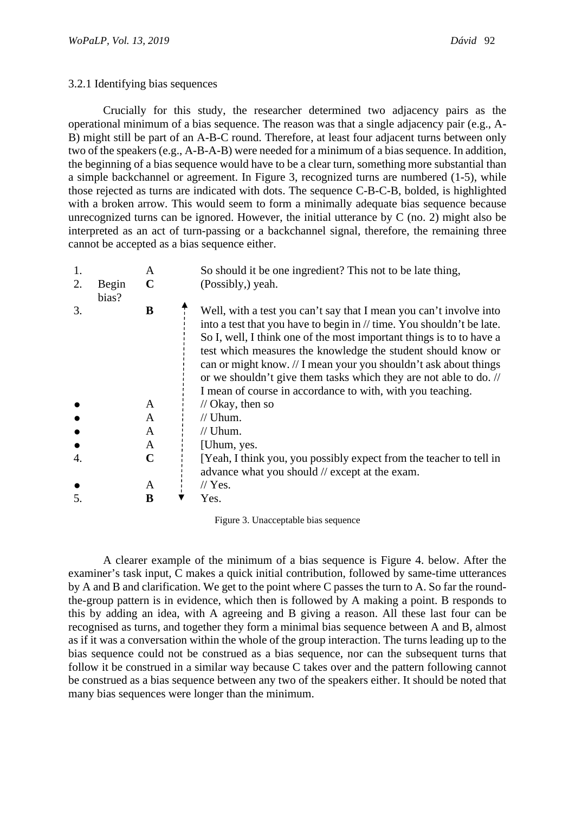### 3.2.1 Identifying bias sequences

Crucially for this study, the researcher determined two adjacency pairs as the operational minimum of a bias sequence. The reason was that a single adjacency pair (e.g., A-B) might still be part of an A-B-C round. Therefore, at least four adjacent turns between only two of the speakers (e.g., A-B-A-B) were needed for a minimum of a bias sequence. In addition, the beginning of a bias sequence would have to be a clear turn, something more substantial than a simple backchannel or agreement. In Figure 3, recognized turns are numbered (1-5), while those rejected as turns are indicated with dots. The sequence C-B-C-B, bolded, is highlighted with a broken arrow. This would seem to form a minimally adequate bias sequence because unrecognized turns can be ignored. However, the initial utterance by C (no. 2) might also be interpreted as an act of turn-passing or a backchannel signal, therefore, the remaining three cannot be accepted as a bias sequence either.

| 1.<br>2. | Begin<br>bias? | A<br>$\mathbf C$ | So should it be one ingredient? This not to be late thing,<br>(Possibly,) yeah.                                                                                                                                                                                                                                                                                                                                                                                                            |
|----------|----------------|------------------|--------------------------------------------------------------------------------------------------------------------------------------------------------------------------------------------------------------------------------------------------------------------------------------------------------------------------------------------------------------------------------------------------------------------------------------------------------------------------------------------|
| 3.       |                | B                | Well, with a test you can't say that I mean you can't involve into<br>into a test that you have to begin in // time. You shouldn't be late.<br>So I, well, I think one of the most important things is to to have a<br>test which measures the knowledge the student should know or<br>can or might know. // I mean your you shouldn't ask about things<br>or we shouldn't give them tasks which they are not able to do. //<br>I mean of course in accordance to with, with you teaching. |
|          |                | $\mathsf{A}$     | $\frac{1}{2}$ Okay, then so                                                                                                                                                                                                                                                                                                                                                                                                                                                                |
|          |                | A                | $//$ Uhum.                                                                                                                                                                                                                                                                                                                                                                                                                                                                                 |
|          |                | A                | $//$ Uhum.                                                                                                                                                                                                                                                                                                                                                                                                                                                                                 |
|          |                | A                | [Uhum, yes.]                                                                                                                                                                                                                                                                                                                                                                                                                                                                               |
| 4.       |                | C                | [Yeah, I think you, you possibly expect from the teacher to tell in<br>advance what you should // except at the exam.                                                                                                                                                                                                                                                                                                                                                                      |
|          |                | A                | $\frac{1}{2}$ Yes.                                                                                                                                                                                                                                                                                                                                                                                                                                                                         |
| 5.       |                | B                | Yes.                                                                                                                                                                                                                                                                                                                                                                                                                                                                                       |

Figure 3. Unacceptable bias sequence

A clearer example of the minimum of a bias sequence is Figure 4. below. After the examiner's task input, C makes a quick initial contribution, followed by same-time utterances by A and B and clarification. We get to the point where C passes the turn to A. So far the roundthe-group pattern is in evidence, which then is followed by A making a point. B responds to this by adding an idea, with A agreeing and B giving a reason. All these last four can be recognised as turns, and together they form a minimal bias sequence between A and B, almost as if it was a conversation within the whole of the group interaction. The turns leading up to the bias sequence could not be construed as a bias sequence, nor can the subsequent turns that follow it be construed in a similar way because C takes over and the pattern following cannot be construed as a bias sequence between any two of the speakers either. It should be noted that many bias sequences were longer than the minimum.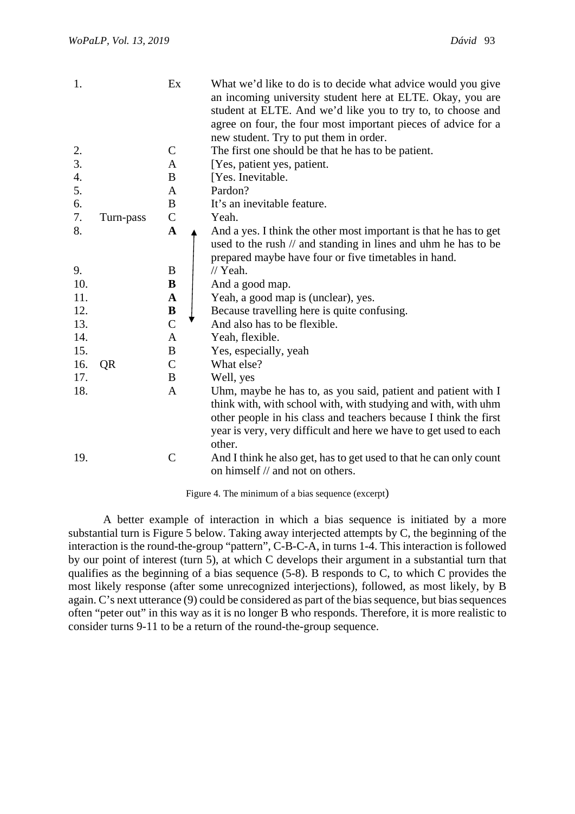| 1.                 |           | Ex             | What we'd like to do is to decide what advice would you give<br>an incoming university student here at ELTE. Okay, you are<br>student at ELTE. And we'd like you to try to, to choose and<br>agree on four, the four most important pieces of advice for a<br>new student. Try to put them in order. |
|--------------------|-----------|----------------|------------------------------------------------------------------------------------------------------------------------------------------------------------------------------------------------------------------------------------------------------------------------------------------------------|
| 2.                 |           | $\mathsf{C}$   | The first one should be that he has to be patient.                                                                                                                                                                                                                                                   |
| 3.                 |           | A              | [Yes, patient yes, patient.                                                                                                                                                                                                                                                                          |
| $\boldsymbol{4}$ . |           | B              | [Yes. Inevitable.                                                                                                                                                                                                                                                                                    |
| 5.                 |           | A              | Pardon?                                                                                                                                                                                                                                                                                              |
| 6.                 |           | $\bf{B}$       | It's an inevitable feature.                                                                                                                                                                                                                                                                          |
| 7.                 | Turn-pass | $\mathsf{C}$   | Yeah.                                                                                                                                                                                                                                                                                                |
| 8.                 |           | $\mathbf A$    | And a yes. I think the other most important is that he has to get<br>used to the rush // and standing in lines and uhm he has to be<br>prepared maybe have four or five timetables in hand.                                                                                                          |
| 9.                 |           | B              | $//$ Yeah.                                                                                                                                                                                                                                                                                           |
| 10.                |           | B              | And a good map.                                                                                                                                                                                                                                                                                      |
| 11.                |           | $\mathbf{A}$   | Yeah, a good map is (unclear), yes.                                                                                                                                                                                                                                                                  |
| 12.                |           | B              | Because travelling here is quite confusing.                                                                                                                                                                                                                                                          |
| 13.                |           | $\overline{C}$ | And also has to be flexible.                                                                                                                                                                                                                                                                         |
| 14.                |           | A              | Yeah, flexible.                                                                                                                                                                                                                                                                                      |
| 15.                |           | $\bf{B}$       | Yes, especially, yeah                                                                                                                                                                                                                                                                                |
| 16.                | QR        | $\mathsf{C}$   | What else?                                                                                                                                                                                                                                                                                           |
| 17.                |           | B              | Well, yes                                                                                                                                                                                                                                                                                            |
| 18.                |           | $\mathbf{A}$   | Uhm, maybe he has to, as you said, patient and patient with I<br>think with, with school with, with studying and with, with uhm<br>other people in his class and teachers because I think the first<br>year is very, very difficult and here we have to get used to each<br>other.                   |
| 19.                |           | $\mathcal{C}$  | And I think he also get, has to get used to that he can only count<br>on himself // and not on others.                                                                                                                                                                                               |

Figure 4. The minimum of a bias sequence (excerpt)

A better example of interaction in which a bias sequence is initiated by a more substantial turn is Figure 5 below. Taking away interjected attempts by C, the beginning of the interaction is the round-the-group "pattern", C-B-C-A, in turns 1-4. This interaction is followed by our point of interest (turn 5), at which C develops their argument in a substantial turn that qualifies as the beginning of a bias sequence (5-8). B responds to C, to which C provides the most likely response (after some unrecognized interjections), followed, as most likely, by B again. C's next utterance (9) could be considered as part of the bias sequence, but bias sequences often "peter out" in this way as it is no longer B who responds. Therefore, it is more realistic to consider turns 9-11 to be a return of the round-the-group sequence.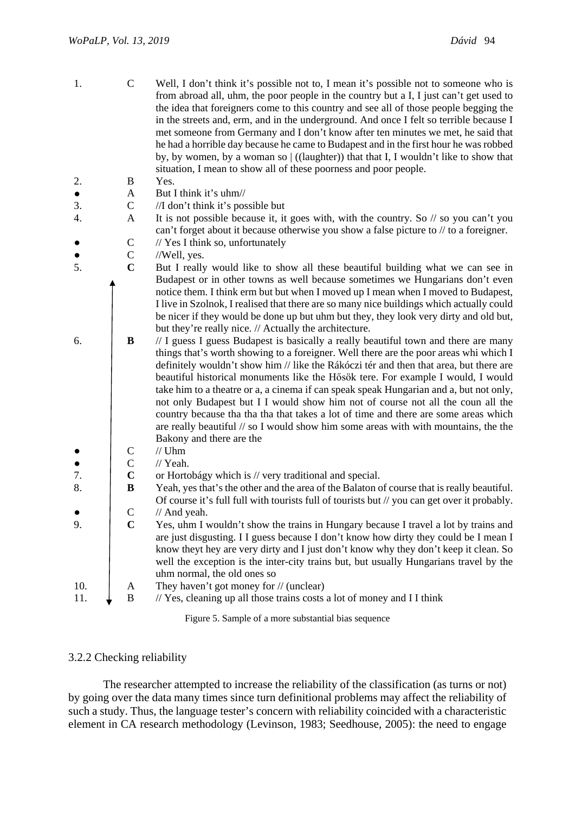| 1.        | $\mathcal{C}$               | Well, I don't think it's possible not to, I mean it's possible not to someone who is<br>from abroad all, uhm, the poor people in the country but a I, I just can't get used to<br>the idea that foreigners come to this country and see all of those people begging the<br>in the streets and, erm, and in the underground. And once I felt so terrible because I<br>met someone from Germany and I don't know after ten minutes we met, he said that<br>he had a horrible day because he came to Budapest and in the first hour he was robbed<br>by, by women, by a woman so $ $ ((laughter)) that that I, I wouldn't like to show that<br>situation, I mean to show all of these poorness and poor people.                                                                                                                                                                                                                                                                                                                                                                                                                                                                        |
|-----------|-----------------------------|-------------------------------------------------------------------------------------------------------------------------------------------------------------------------------------------------------------------------------------------------------------------------------------------------------------------------------------------------------------------------------------------------------------------------------------------------------------------------------------------------------------------------------------------------------------------------------------------------------------------------------------------------------------------------------------------------------------------------------------------------------------------------------------------------------------------------------------------------------------------------------------------------------------------------------------------------------------------------------------------------------------------------------------------------------------------------------------------------------------------------------------------------------------------------------------|
| 2.        | B                           | Yes.                                                                                                                                                                                                                                                                                                                                                                                                                                                                                                                                                                                                                                                                                                                                                                                                                                                                                                                                                                                                                                                                                                                                                                                |
| $\bullet$ | A                           | But I think it's uhm//                                                                                                                                                                                                                                                                                                                                                                                                                                                                                                                                                                                                                                                                                                                                                                                                                                                                                                                                                                                                                                                                                                                                                              |
| 3.        | $\mathcal{C}$               | //I don't think it's possible but                                                                                                                                                                                                                                                                                                                                                                                                                                                                                                                                                                                                                                                                                                                                                                                                                                                                                                                                                                                                                                                                                                                                                   |
| 4.        | $\mathbf{A}$                | It is not possible because it, it goes with, with the country. So $\theta$ so you can't you                                                                                                                                                                                                                                                                                                                                                                                                                                                                                                                                                                                                                                                                                                                                                                                                                                                                                                                                                                                                                                                                                         |
|           |                             | can't forget about it because otherwise you show a false picture to $//$ to a foreigner.                                                                                                                                                                                                                                                                                                                                                                                                                                                                                                                                                                                                                                                                                                                                                                                                                                                                                                                                                                                                                                                                                            |
|           | $\mathsf{C}$                | // Yes I think so, unfortunately                                                                                                                                                                                                                                                                                                                                                                                                                                                                                                                                                                                                                                                                                                                                                                                                                                                                                                                                                                                                                                                                                                                                                    |
|           | $\mathbf C$                 | //Well, yes.                                                                                                                                                                                                                                                                                                                                                                                                                                                                                                                                                                                                                                                                                                                                                                                                                                                                                                                                                                                                                                                                                                                                                                        |
| 5.        | $\mathbf C$                 | But I really would like to show all these beautiful building what we can see in                                                                                                                                                                                                                                                                                                                                                                                                                                                                                                                                                                                                                                                                                                                                                                                                                                                                                                                                                                                                                                                                                                     |
| 6.        | $\bf{B}$                    | Budapest or in other towns as well because sometimes we Hungarians don't even<br>notice them. I think erm but but when I moved up I mean when I moved to Budapest,<br>I live in Szolnok, I realised that there are so many nice buildings which actually could<br>be nicer if they would be done up but uhm but they, they look very dirty and old but,<br>but they're really nice. // Actually the architecture.<br>// I guess I guess Budapest is basically a really beautiful town and there are many<br>things that's worth showing to a foreigner. Well there are the poor areas whi which I<br>definitely wouldn't show him // like the Rákóczi tér and then that area, but there are<br>beautiful historical monuments like the Hősök tere. For example I would, I would<br>take him to a theatre or a, a cinema if can speak speak Hungarian and a, but not only,<br>not only Budapest but I I would show him not of course not all the coun all the<br>country because tha tha that takes a lot of time and there are some areas which<br>are really beautiful $\pi/2$ so I would show him some areas with with mountains, the the<br>Bakony and there are the<br>$//$ Uhm |
|           | $\mathsf{C}$<br>$\mathbf C$ | // Yeah.                                                                                                                                                                                                                                                                                                                                                                                                                                                                                                                                                                                                                                                                                                                                                                                                                                                                                                                                                                                                                                                                                                                                                                            |
| 7.        | $\mathbf C$                 | or Hortobágy which is // very traditional and special.                                                                                                                                                                                                                                                                                                                                                                                                                                                                                                                                                                                                                                                                                                                                                                                                                                                                                                                                                                                                                                                                                                                              |
| 8.        | $\bf{B}$                    | Yeah, yes that's the other and the area of the Balaton of course that is really beautiful.                                                                                                                                                                                                                                                                                                                                                                                                                                                                                                                                                                                                                                                                                                                                                                                                                                                                                                                                                                                                                                                                                          |
|           |                             | Of course it's full full with tourists full of tourists but // you can get over it probably.                                                                                                                                                                                                                                                                                                                                                                                                                                                                                                                                                                                                                                                                                                                                                                                                                                                                                                                                                                                                                                                                                        |
|           | $\mathbf C$                 | // And yeah.                                                                                                                                                                                                                                                                                                                                                                                                                                                                                                                                                                                                                                                                                                                                                                                                                                                                                                                                                                                                                                                                                                                                                                        |
| 9.        | $\mathbf C$                 | Yes, uhm I wouldn't show the trains in Hungary because I travel a lot by trains and<br>are just disgusting. I I guess because I don't know how dirty they could be I mean I<br>know theyt hey are very dirty and I just don't know why they don't keep it clean. So<br>well the exception is the inter-city trains but, but usually Hungarians travel by the<br>uhm normal, the old ones so                                                                                                                                                                                                                                                                                                                                                                                                                                                                                                                                                                                                                                                                                                                                                                                         |
| 10.       | A                           | They haven't got money for // (unclear)                                                                                                                                                                                                                                                                                                                                                                                                                                                                                                                                                                                                                                                                                                                                                                                                                                                                                                                                                                                                                                                                                                                                             |
| 11.       | B                           | // Yes, cleaning up all those trains costs a lot of money and I I think                                                                                                                                                                                                                                                                                                                                                                                                                                                                                                                                                                                                                                                                                                                                                                                                                                                                                                                                                                                                                                                                                                             |
|           |                             |                                                                                                                                                                                                                                                                                                                                                                                                                                                                                                                                                                                                                                                                                                                                                                                                                                                                                                                                                                                                                                                                                                                                                                                     |

Figure 5. Sample of a more substantial bias sequence

### 3.2.2 Checking reliability

The researcher attempted to increase the reliability of the classification (as turns or not) by going over the data many times since turn definitional problems may affect the reliability of such a study. Thus, the language tester's concern with reliability coincided with a characteristic element in CA research methodology (Levinson, 1983; Seedhouse, 2005): the need to engage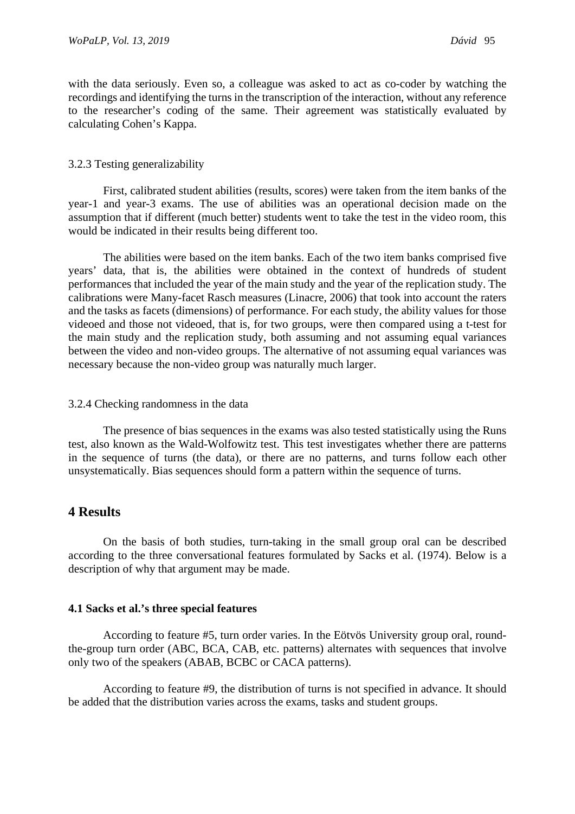with the data seriously. Even so, a colleague was asked to act as co-coder by watching the recordings and identifying the turns in the transcription of the interaction, without any reference to the researcher's coding of the same. Their agreement was statistically evaluated by calculating Cohen's Kappa.

#### 3.2.3 Testing generalizability

First, calibrated student abilities (results, scores) were taken from the item banks of the year-1 and year-3 exams. The use of abilities was an operational decision made on the assumption that if different (much better) students went to take the test in the video room, this would be indicated in their results being different too.

The abilities were based on the item banks. Each of the two item banks comprised five years' data, that is, the abilities were obtained in the context of hundreds of student performances that included the year of the main study and the year of the replication study. The calibrations were Many-facet Rasch measures (Linacre, 2006) that took into account the raters and the tasks as facets (dimensions) of performance. For each study, the ability values for those videoed and those not videoed, that is, for two groups, were then compared using a t-test for the main study and the replication study, both assuming and not assuming equal variances between the video and non-video groups. The alternative of not assuming equal variances was necessary because the non-video group was naturally much larger.

#### 3.2.4 Checking randomness in the data

The presence of bias sequences in the exams was also tested statistically using the Runs test, also known as the Wald-Wolfowitz test. This test investigates whether there are patterns in the sequence of turns (the data), or there are no patterns, and turns follow each other unsystematically. Bias sequences should form a pattern within the sequence of turns.

# **4 Results**

On the basis of both studies, turn-taking in the small group oral can be described according to the three conversational features formulated by Sacks et al. (1974). Below is a description of why that argument may be made.

#### **4.1 Sacks et al.'s three special features**

According to feature #5, turn order varies. In the Eötvös University group oral, roundthe-group turn order (ABC, BCA, CAB, etc. patterns) alternates with sequences that involve only two of the speakers (ABAB, BCBC or CACA patterns).

According to feature #9, the distribution of turns is not specified in advance. It should be added that the distribution varies across the exams, tasks and student groups.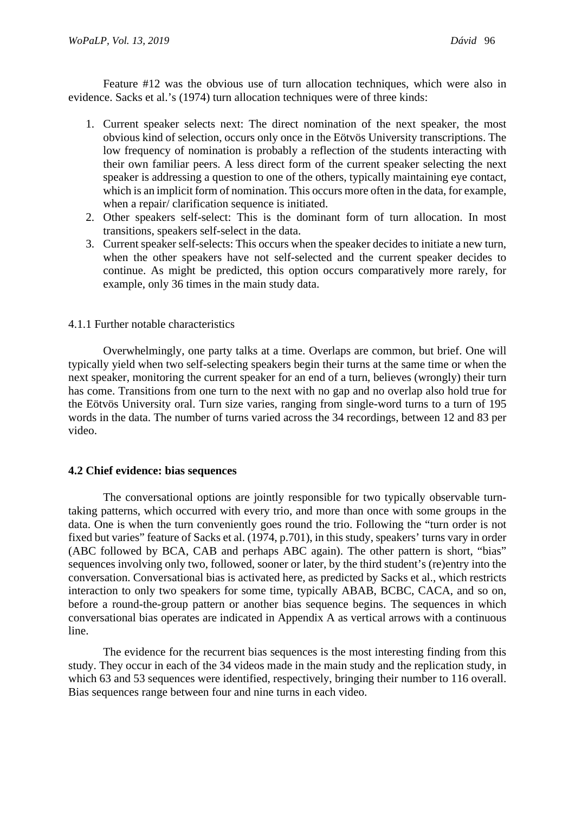Feature #12 was the obvious use of turn allocation techniques, which were also in evidence. Sacks et al.'s (1974) turn allocation techniques were of three kinds:

- 1. Current speaker selects next: The direct nomination of the next speaker, the most obvious kind of selection, occurs only once in the Eötvös University transcriptions. The low frequency of nomination is probably a reflection of the students interacting with their own familiar peers. A less direct form of the current speaker selecting the next speaker is addressing a question to one of the others, typically maintaining eye contact, which is an implicit form of nomination. This occurs more often in the data, for example, when a repair/ clarification sequence is initiated.
- 2. Other speakers self-select: This is the dominant form of turn allocation. In most transitions, speakers self-select in the data.
- 3. Current speaker self-selects: This occurs when the speaker decides to initiate a new turn, when the other speakers have not self-selected and the current speaker decides to continue. As might be predicted, this option occurs comparatively more rarely, for example, only 36 times in the main study data.

### 4.1.1 Further notable characteristics

Overwhelmingly, one party talks at a time. Overlaps are common, but brief. One will typically yield when two self-selecting speakers begin their turns at the same time or when the next speaker, monitoring the current speaker for an end of a turn, believes (wrongly) their turn has come. Transitions from one turn to the next with no gap and no overlap also hold true for the Eötvös University oral. Turn size varies, ranging from single-word turns to a turn of 195 words in the data. The number of turns varied across the 34 recordings, between 12 and 83 per video.

# **4.2 Chief evidence: bias sequences**

The conversational options are jointly responsible for two typically observable turntaking patterns, which occurred with every trio, and more than once with some groups in the data. One is when the turn conveniently goes round the trio. Following the "turn order is not fixed but varies" feature of Sacks et al. (1974, p.701), in this study, speakers' turns vary in order (ABC followed by BCA, CAB and perhaps ABC again). The other pattern is short, "bias" sequences involving only two, followed, sooner or later, by the third student's (re)entry into the conversation. Conversational bias is activated here, as predicted by Sacks et al., which restricts interaction to only two speakers for some time, typically ABAB, BCBC, CACA, and so on, before a round-the-group pattern or another bias sequence begins. The sequences in which conversational bias operates are indicated in Appendix A as vertical arrows with a continuous line.

The evidence for the recurrent bias sequences is the most interesting finding from this study. They occur in each of the 34 videos made in the main study and the replication study, in which 63 and 53 sequences were identified, respectively, bringing their number to 116 overall. Bias sequences range between four and nine turns in each video.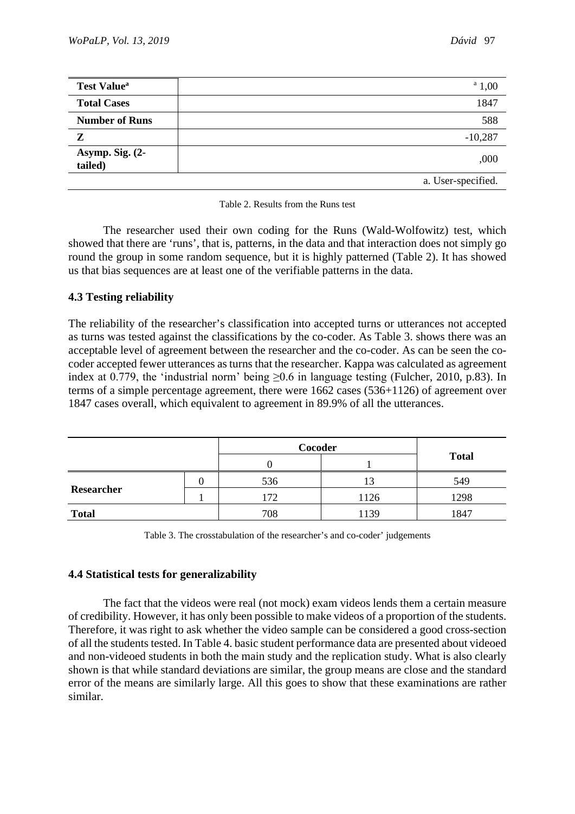| <b>Test Value</b> <sup>a</sup> | $^{\circ}$ 1,00    |
|--------------------------------|--------------------|
| <b>Total Cases</b>             | 1847               |
| <b>Number of Runs</b>          | 588                |
| Z                              | $-10,287$          |
| Asymp. Sig. (2-<br>tailed)     | 000,               |
|                                | a. User-specified. |

| Table 2. Results from the Runs test |  |  |  |
|-------------------------------------|--|--|--|
|                                     |  |  |  |

The researcher used their own coding for the Runs (Wald-Wolfowitz) test, which showed that there are 'runs', that is, patterns, in the data and that interaction does not simply go round the group in some random sequence, but it is highly patterned (Table 2). It has showed us that bias sequences are at least one of the verifiable patterns in the data.

# **4.3 Testing reliability**

The reliability of the researcher's classification into accepted turns or utterances not accepted as turns was tested against the classifications by the co-coder. As Table 3. shows there was an acceptable level of agreement between the researcher and the co-coder. As can be seen the cocoder accepted fewer utterances as turns that the researcher. Kappa was calculated as agreement index at 0.779, the 'industrial norm' being  $\geq 0.6$  in language testing (Fulcher, 2010, p.83). In terms of a simple percentage agreement, there were 1662 cases (536+1126) of agreement over 1847 cases overall, which equivalent to agreement in 89.9% of all the utterances.

|              |  | Cocoder |      |              |
|--------------|--|---------|------|--------------|
|              |  |         |      | <b>Total</b> |
|              |  | 536     |      | 549          |
| Researcher   |  | 172     | 1126 | 1298         |
| <b>Total</b> |  | 708     | 1139 | 1847         |

Table 3. The crosstabulation of the researcher's and co-coder' judgements

# **4.4 Statistical tests for generalizability**

The fact that the videos were real (not mock) exam videos lends them a certain measure of credibility. However, it has only been possible to make videos of a proportion of the students. Therefore, it was right to ask whether the video sample can be considered a good cross-section of all the students tested. In Table 4. basic student performance data are presented about videoed and non-videoed students in both the main study and the replication study. What is also clearly shown is that while standard deviations are similar, the group means are close and the standard error of the means are similarly large. All this goes to show that these examinations are rather similar.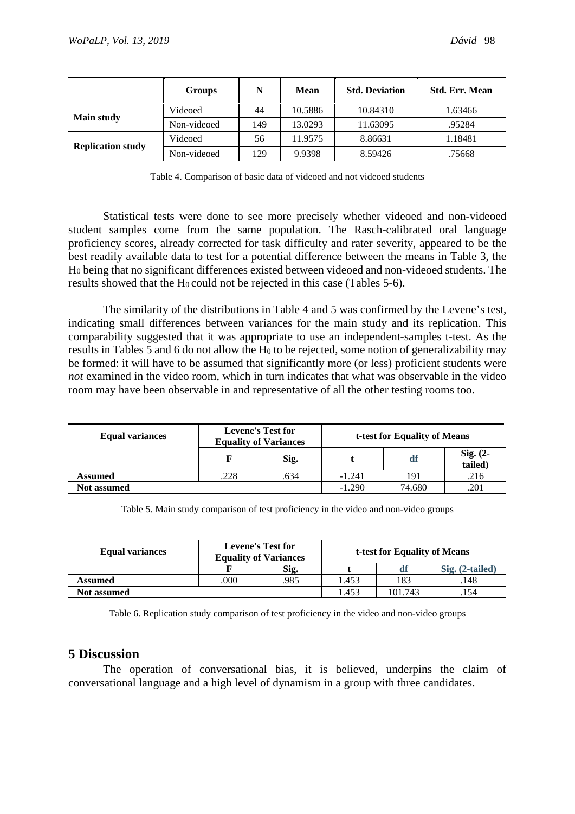|                          | <b>Groups</b> | N   | Mean    | <b>Std. Deviation</b> | <b>Std. Err. Mean</b> |
|--------------------------|---------------|-----|---------|-----------------------|-----------------------|
| <b>Main study</b>        | Videoed       | 44  | 10.5886 | 10.84310              | 1.63466               |
|                          | Non-videoed   | 149 | 13.0293 | 11.63095              | .95284                |
|                          | Videoed       | 56  | 11.9575 | 8.86631               | 1.18481               |
| <b>Replication study</b> | Non-videoed   | 129 | 9.9398  | 8.59426               | .75668                |

Table 4. Comparison of basic data of videoed and not videoed students

Statistical tests were done to see more precisely whether videoed and non-videoed student samples come from the same population. The Rasch-calibrated oral language proficiency scores, already corrected for task difficulty and rater severity, appeared to be the best readily available data to test for a potential difference between the means in Table 3, the H0 being that no significant differences existed between videoed and non-videoed students. The results showed that the H<sub>0</sub> could not be rejected in this case (Tables 5-6).

The similarity of the distributions in Table 4 and 5 was confirmed by the Levene's test, indicating small differences between variances for the main study and its replication. This comparability suggested that it was appropriate to use an independent-samples t-test. As the results in Tables 5 and 6 do not allow the H<sub>0</sub> to be rejected, some notion of generalizability may be formed: it will have to be assumed that significantly more (or less) proficient students were *not* examined in the video room, which in turn indicates that what was observable in the video room may have been observable in and representative of all the other testing rooms too.

| <b>Equal variances</b> | <b>Levene's Test for</b><br><b>Equality of Variances</b> |      | t-test for Equality of Means |        |                     |
|------------------------|----------------------------------------------------------|------|------------------------------|--------|---------------------|
|                        |                                                          | Sig. |                              | df     | Sig. (2-<br>tailed) |
| <b>Assumed</b>         | .228                                                     | .634 | $-1.241$                     | 191    | .216                |
| <b>Not assumed</b>     |                                                          |      | $-1.290$                     | 74.680 | .201                |

Table 5. Main study comparison of test proficiency in the video and non-video groups

| <b>Equal variances</b> | <b>Levene's Test for</b><br><b>Equality of Variances</b> |      | t-test for Equality of Means |         |                   |
|------------------------|----------------------------------------------------------|------|------------------------------|---------|-------------------|
|                        |                                                          | Sig. |                              |         | $Sig. (2-tailed)$ |
| <b>Assumed</b>         | 000                                                      | 985  | .453                         | 183     | .148              |
| <b>Not assumed</b>     |                                                          |      | .453                         | 101.743 | .154              |

Table 6. Replication study comparison of test proficiency in the video and non-video groups

# **5 Discussion**

The operation of conversational bias, it is believed, underpins the claim of conversational language and a high level of dynamism in a group with three candidates.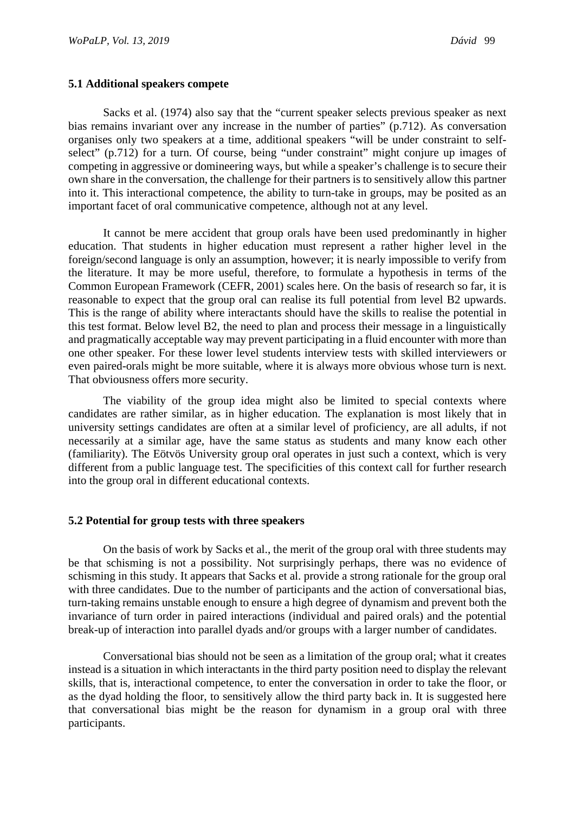#### **5.1 Additional speakers compete**

Sacks et al. (1974) also say that the "current speaker selects previous speaker as next bias remains invariant over any increase in the number of parties" (p.712). As conversation organises only two speakers at a time, additional speakers "will be under constraint to selfselect" (p.712) for a turn. Of course, being "under constraint" might conjure up images of competing in aggressive or domineering ways, but while a speaker's challenge is to secure their own share in the conversation, the challenge for their partners is to sensitively allow this partner into it. This interactional competence, the ability to turn-take in groups, may be posited as an important facet of oral communicative competence, although not at any level.

It cannot be mere accident that group orals have been used predominantly in higher education. That students in higher education must represent a rather higher level in the foreign/second language is only an assumption, however; it is nearly impossible to verify from the literature. It may be more useful, therefore, to formulate a hypothesis in terms of the Common European Framework (CEFR, 2001) scales here. On the basis of research so far, it is reasonable to expect that the group oral can realise its full potential from level B2 upwards. This is the range of ability where interactants should have the skills to realise the potential in this test format. Below level B2, the need to plan and process their message in a linguistically and pragmatically acceptable way may prevent participating in a fluid encounter with more than one other speaker. For these lower level students interview tests with skilled interviewers or even paired-orals might be more suitable, where it is always more obvious whose turn is next. That obviousness offers more security.

The viability of the group idea might also be limited to special contexts where candidates are rather similar, as in higher education. The explanation is most likely that in university settings candidates are often at a similar level of proficiency, are all adults, if not necessarily at a similar age, have the same status as students and many know each other (familiarity). The Eötvös University group oral operates in just such a context, which is very different from a public language test. The specificities of this context call for further research into the group oral in different educational contexts.

#### **5.2 Potential for group tests with three speakers**

On the basis of work by Sacks et al., the merit of the group oral with three students may be that schisming is not a possibility. Not surprisingly perhaps, there was no evidence of schisming in this study. It appears that Sacks et al. provide a strong rationale for the group oral with three candidates. Due to the number of participants and the action of conversational bias, turn-taking remains unstable enough to ensure a high degree of dynamism and prevent both the invariance of turn order in paired interactions (individual and paired orals) and the potential break-up of interaction into parallel dyads and/or groups with a larger number of candidates.

Conversational bias should not be seen as a limitation of the group oral; what it creates instead is a situation in which interactants in the third party position need to display the relevant skills, that is, interactional competence, to enter the conversation in order to take the floor, or as the dyad holding the floor, to sensitively allow the third party back in. It is suggested here that conversational bias might be the reason for dynamism in a group oral with three participants.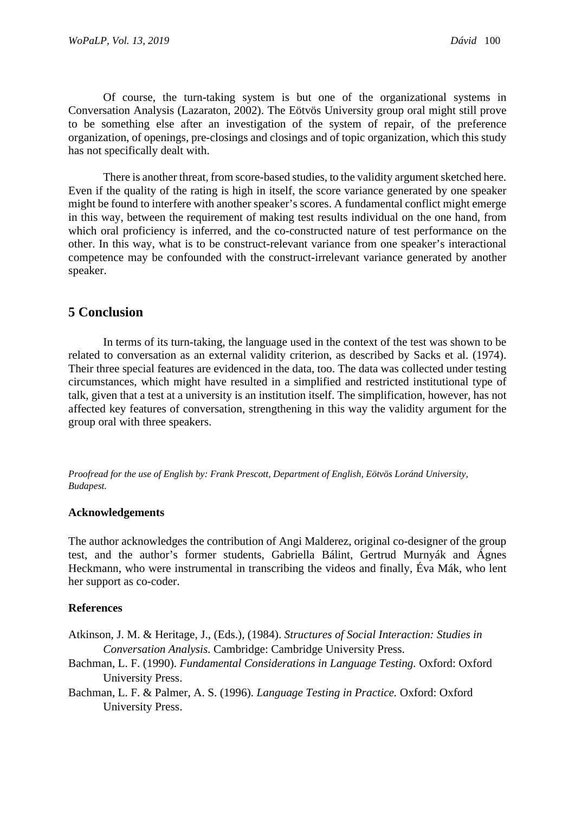Of course, the turn-taking system is but one of the organizational systems in Conversation Analysis (Lazaraton, 2002). The Eötvös University group oral might still prove to be something else after an investigation of the system of repair, of the preference organization, of openings, pre-closings and closings and of topic organization, which this study has not specifically dealt with.

There is another threat, from score-based studies, to the validity argument sketched here. Even if the quality of the rating is high in itself, the score variance generated by one speaker might be found to interfere with another speaker's scores. A fundamental conflict might emerge in this way, between the requirement of making test results individual on the one hand, from which oral proficiency is inferred, and the co-constructed nature of test performance on the other. In this way, what is to be construct-relevant variance from one speaker's interactional competence may be confounded with the construct-irrelevant variance generated by another speaker.

# **5 Conclusion**

In terms of its turn-taking, the language used in the context of the test was shown to be related to conversation as an external validity criterion, as described by Sacks et al. (1974). Their three special features are evidenced in the data, too. The data was collected under testing circumstances, which might have resulted in a simplified and restricted institutional type of talk, given that a test at a university is an institution itself. The simplification, however, has not affected key features of conversation, strengthening in this way the validity argument for the group oral with three speakers.

*Proofread for the use of English by: Frank Prescott, Department of English, Eötvös Loránd University, Budapest.*

# **Acknowledgements**

The author acknowledges the contribution of Angi Malderez, original co-designer of the group test, and the author's former students, Gabriella Bálint, Gertrud Murnyák and Ágnes Heckmann, who were instrumental in transcribing the videos and finally, Éva Mák, who lent her support as co-coder.

# **References**

Atkinson, J. M. & Heritage, J., (Eds.), (1984). *Structures of Social Interaction: Studies in Conversation Analysis.* Cambridge: Cambridge University Press.

- Bachman, L. F. (1990). *Fundamental Considerations in Language Testing*. Oxford: Oxford University Press.
- Bachman, L. F. & Palmer, A. S. (1996). *Language Testing in Practice.* Oxford: Oxford University Press.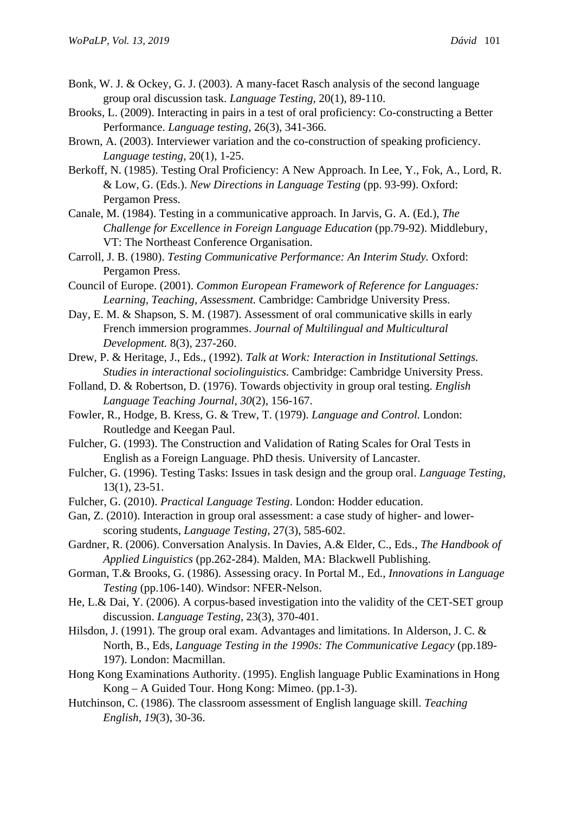- Bonk, W. J. & Ockey, G. J. (2003). A many-facet Rasch analysis of the second language group oral discussion task. *Language Testing,* 20(1), 89-110.
- Brooks, L. (2009). Interacting in pairs in a test of oral proficiency: Co-constructing a Better Performance. *Language testing,* 26(3), 341-366.
- Brown, A. (2003). Interviewer variation and the co-construction of speaking proficiency. *Language testing,* 20(1), 1-25.
- Berkoff, N. (1985). Testing Oral Proficiency: A New Approach. In Lee, Y., Fok, A., Lord, R. & Low, G. (Eds.). *New Directions in Language Testing* (pp. 93-99). Oxford: Pergamon Press.
- Canale, M. (1984). Testing in a communicative approach. In Jarvis, G. A. (Ed.), *The Challenge for Excellence in Foreign Language Education* (pp.79-92). Middlebury, VT: The Northeast Conference Organisation.
- Carroll, J. B. (1980). *Testing Communicative Performance: An Interim Study.* Oxford: Pergamon Press.
- Council of Europe. (2001). *Common European Framework of Reference for Languages: Learning, Teaching, Assessment.* Cambridge: Cambridge University Press.
- Day, E. M. & Shapson, S. M. (1987). Assessment of oral communicative skills in early French immersion programmes. *Journal of Multilingual and Multicultural Development.* 8(3), 237-260.
- Drew, P. & Heritage, J., Eds., (1992). *Talk at Work: Interaction in Institutional Settings. Studies in interactional sociolinguistics.* Cambridge: Cambridge University Press.
- Folland, D. & Robertson, D. (1976). Towards objectivity in group oral testing. *English Language Teaching Journal, 30*(2), 156-167.
- Fowler, R., Hodge, B. Kress, G. & Trew, T. (1979). *Language and Control.* London: Routledge and Keegan Paul.
- Fulcher, G. (1993). The Construction and Validation of Rating Scales for Oral Tests in English as a Foreign Language. PhD thesis. University of Lancaster.
- Fulcher, G. (1996). Testing Tasks: Issues in task design and the group oral. *Language Testing,* 13(1), 23-51.
- Fulcher, G. (2010). *Practical Language Testing*. London: Hodder education.
- Gan, Z. (2010). Interaction in group oral assessment: a case study of higher- and lowerscoring students, *Language Testing,* 27(3), 585-602.
- Gardner, R. (2006). Conversation Analysis. In Davies, A.& Elder, C., Eds., *The Handbook of Applied Linguistics* (pp.262-284). Malden, MA: Blackwell Publishing.
- Gorman, T.& Brooks, G. (1986). Assessing oracy. In Portal M., Ed., *Innovations in Language Testing* (pp.106-140). Windsor: NFER-Nelson.
- He, L.& Dai, Y. (2006). A corpus-based investigation into the validity of the CET-SET group discussion. *Language Testing,* 23(3), 370-401.
- Hilsdon, J. (1991). The group oral exam. Advantages and limitations. In Alderson, J. C. & North, B., Eds, *Language Testing in the 1990s: The Communicative Legacy* (pp.189- 197). London: Macmillan.
- Hong Kong Examinations Authority. (1995). English language Public Examinations in Hong Kong – A Guided Tour. Hong Kong: Mimeo. (pp.1-3).
- Hutchinson, C. (1986). The classroom assessment of English language skill. *Teaching English, 19*(3), 30-36.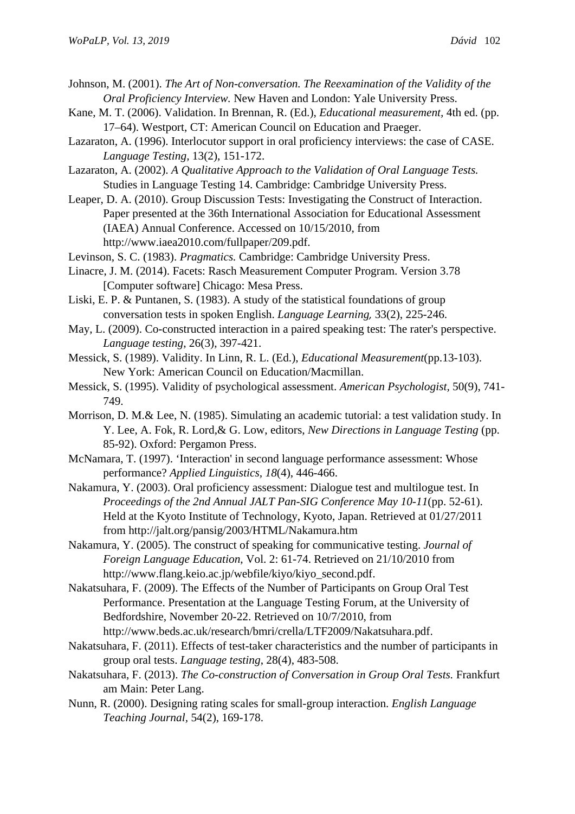- Johnson, M. (2001). *The Art of Non-conversation. The Reexamination of the Validity of the Oral Proficiency Interview.* New Haven and London: Yale University Press.
- Kane, M. T. (2006). Validation. In Brennan, R. (Ed.), *Educational measurement,* 4th ed. (pp. 17–64). Westport, CT: American Council on Education and Praeger.
- Lazaraton, A. (1996). Interlocutor support in oral proficiency interviews: the case of CASE. *Language Testing,* 13(2), 151-172.
- Lazaraton, A. (2002). *A Qualitative Approach to the Validation of Oral Language Tests.* Studies in Language Testing 14. Cambridge: Cambridge University Press.
- Leaper, D. A. (2010). Group Discussion Tests: Investigating the Construct of Interaction. Paper presented at the 36th International Association for Educational Assessment (IAEA) Annual Conference. Accessed on 10/15/2010, from http://www.iaea2010.com/fullpaper/209.pdf.
- Levinson, S. C. (1983). *Pragmatics.* Cambridge: Cambridge University Press.
- Linacre, J. M. (2014). Facets: Rasch Measurement Computer Program. Version 3.78 [Computer software] Chicago: Mesa Press.
- Liski, E. P. & Puntanen, S. (1983). A study of the statistical foundations of group conversation tests in spoken English. *Language Learning,* 33(2), 225-246.
- May, L. (2009). Co-constructed interaction in a paired speaking test: The rater's perspective. *Language testing*, 26(3), 397-421.
- Messick, S. (1989). Validity. In Linn, R. L. (Ed.), *Educational Measurement*(pp.13-103). New York: American Council on Education/Macmillan.
- Messick, S. (1995). Validity of psychological assessment. *American Psychologist,* 50(9), 741- 749.
- Morrison, D. M.& Lee, N. (1985). Simulating an academic tutorial: a test validation study. In Y. Lee, A. Fok, R. Lord,& G. Low, editors, *New Directions in Language Testing* (pp. 85-92). Oxford: Pergamon Press.
- McNamara, T. (1997). 'Interaction' in second language performance assessment: Whose performance? *Applied Linguistics, 18*(4), 446-466.
- Nakamura, Y. (2003). Oral proficiency assessment: Dialogue test and multilogue test. In *Proceedings of the 2nd Annual JALT Pan-SIG Conference May 10-11*(pp. 52-61). Held at the Kyoto Institute of Technology, Kyoto, Japan. Retrieved at 01/27/2011 from http://jalt.org/pansig/2003/HTML/Nakamura.htm
- Nakamura, Y. (2005). The construct of speaking for communicative testing. *Journal of Foreign Language Education,* Vol. 2: 61-74. Retrieved on 21/10/2010 from http://www.flang.keio.ac.jp/webfile/kiyo/kiyo\_second.pdf.
- Nakatsuhara, F. (2009). The Effects of the Number of Participants on Group Oral Test Performance. Presentation at the Language Testing Forum, at the University of Bedfordshire, November 20-22. Retrieved on 10/7/2010, from [http://www.beds.ac.uk/research/bmri/crella/LTF2009/Nakatsuhara.pdf.](http://www.beds.ac.uk/research/bmri/crella/LTF2009/Nakatsuhara.pdf)
- Nakatsuhara, F. (2011). Effects of test-taker characteristics and the number of participants in group oral tests. *Language testing*, 28(4), 483-508.
- Nakatsuhara, F. (2013). *The Co-construction of Conversation in Group Oral Tests.* Frankfurt am Main: Peter Lang.
- Nunn, R. (2000). Designing rating scales for small-group interaction. *English Language Teaching Journal,* 54(2), 169-178.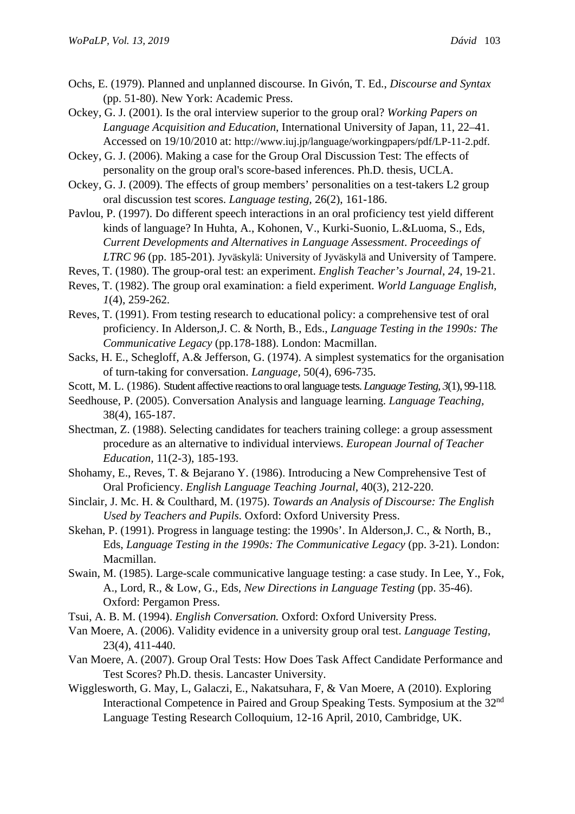- Ochs, E. (1979). Planned and unplanned discourse. In Givón, T. Ed., *Discourse and Syntax* (pp. 51-80). New York: Academic Press.
- Ockey, G. J. (2001). Is the oral interview superior to the group oral? *Working Papers on Language Acquisition and Education*, International University of Japan, 11, 22–41. Accessed on 19/10/2010 at: [http://www.iuj.jp/language/workingpapers/pdf/LP-11-2.pdf.](http://www.iuj.jp/language/workingpapers/pdf/LP-11-2.pdf)
- Ockey, G. J. (2006). Making a case for the Group Oral Discussion Test: The effects of personality on the group oral's score-based inferences. Ph.D. thesis, UCLA.
- Ockey, G. J. (2009). The effects of group members' personalities on a test-takers L2 group oral discussion test scores. *Language testing,* 26(2), 161-186.
- Pavlou, P. (1997). Do different speech interactions in an oral proficiency test yield different kinds of language? In Huhta, A., Kohonen, V., Kurki-Suonio, L.&Luoma, S., Eds, *Current Developments and Alternatives in Language Assessment*. *Proceedings of LTRC 96* (pp. 185-201). Jyväskylä: University of Jyväskylä and University of Tampere.
- Reves, T. (1980). The group-oral test: an experiment. *English Teacher's Journal*, *24*, 19-21.
- Reves, T. (1982). The group oral examination: a field experiment. *World Language English, 1*(4), 259-262.
- Reves, T. (1991). From testing research to educational policy: a comprehensive test of oral proficiency. In Alderson,J. C. & North, B., Eds., *Language Testing in the 1990s: The Communicative Legacy* (pp.178-188). London: Macmillan.
- Sacks, H. E., Schegloff, A.& Jefferson, G. (1974). A simplest systematics for the organisation of turn-taking for conversation. *Language,* 50(4), 696-735.
- Scott, M. L. (1986). Student affective reactions to oral language tests. *Language Testing, 3*(1), 99-118.
- Seedhouse, P. (2005). Conversation Analysis and language learning. *Language Teaching,* 38(4), 165-187.
- Shectman, Z. (1988). Selecting candidates for teachers training college: a group assessment procedure as an alternative to individual interviews. *European Journal of Teacher Education,* 11(2-3), 185-193.
- Shohamy, E., Reves, T. & Bejarano Y. (1986). Introducing a New Comprehensive Test of Oral Proficiency. *English Language Teaching Journal,* 40(3), 212-220.
- Sinclair, J. Mc. H. & Coulthard, M. (1975). *Towards an Analysis of Discourse: The English Used by Teachers and Pupils.* Oxford: Oxford University Press.
- Skehan, P. (1991). Progress in language testing: the 1990s'. In Alderson,J. C., & North, B., Eds, *Language Testing in the 1990s: The Communicative Legacy* (pp. 3-21). London: Macmillan.
- Swain, M. (1985). Large-scale communicative language testing: a case study. In Lee, Y., Fok, A., Lord, R., & Low, G., Eds, *New Directions in Language Testing* (pp. 35-46). Oxford: Pergamon Press.
- Tsui, A. B. M. (1994). *English Conversation.* Oxford: Oxford University Press.
- Van Moere, A. (2006). Validity evidence in a university group oral test. *Language Testing,* 23(4), 411-440.
- Van Moere, A. (2007). Group Oral Tests: How Does Task Affect Candidate Performance and Test Scores? Ph.D. thesis. Lancaster University.
- Wigglesworth, G. May, L, Galaczi, E., Nakatsuhara, F, & Van Moere, A (2010). Exploring Interactional Competence in Paired and Group Speaking Tests. Symposium at the 32<sup>nd</sup> Language Testing Research Colloquium, 12-16 April, 2010, Cambridge, UK.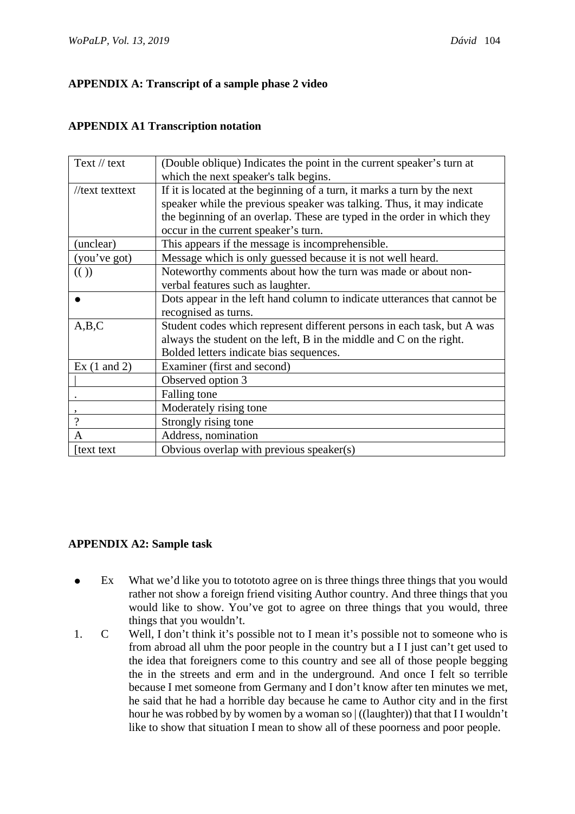# **APPENDIX A: Transcript of a sample phase 2 video**

# **APPENDIX A1 Transcription notation**

| Text $//$ text              | (Double oblique) Indicates the point in the current speaker's turn at     |
|-----------------------------|---------------------------------------------------------------------------|
|                             | which the next speaker's talk begins.                                     |
| //text texttext             | If it is located at the beginning of a turn, it marks a turn by the next  |
|                             | speaker while the previous speaker was talking. Thus, it may indicate     |
|                             | the beginning of an overlap. These are typed in the order in which they   |
|                             | occur in the current speaker's turn.                                      |
| (unclear)                   | This appears if the message is incomprehensible.                          |
| (you've got)                | Message which is only guessed because it is not well heard.               |
| $\left(\binom{1}{2}\right)$ | Noteworthy comments about how the turn was made or about non-             |
|                             | verbal features such as laughter.                                         |
|                             | Dots appear in the left hand column to indicate utterances that cannot be |
|                             | recognised as turns.                                                      |
| A,B,C                       | Student codes which represent different persons in each task, but A was   |
|                             | always the student on the left, B in the middle and C on the right.       |
|                             | Bolded letters indicate bias sequences.                                   |
| Ex $(1 \text{ and } 2)$     | Examiner (first and second)                                               |
|                             | Observed option 3                                                         |
|                             | Falling tone                                                              |
|                             | Moderately rising tone                                                    |
| $\gamma$                    | Strongly rising tone                                                      |
| A                           | Address, nomination                                                       |
| text text                   | Obvious overlap with previous speaker(s)                                  |

# **APPENDIX A2: Sample task**

- Ex What we'd like you to totototo agree on is three things three things that you would rather not show a foreign friend visiting Author country. And three things that you would like to show. You've got to agree on three things that you would, three things that you wouldn't.
- 1. C Well, I don't think it's possible not to I mean it's possible not to someone who is from abroad all uhm the poor people in the country but a I I just can't get used to the idea that foreigners come to this country and see all of those people begging the in the streets and erm and in the underground. And once I felt so terrible because I met someone from Germany and I don't know after ten minutes we met, he said that he had a horrible day because he came to Author city and in the first hour he was robbed by by women by a woman so  $|$  ((laughter)) that that II wouldn't like to show that situation I mean to show all of these poorness and poor people.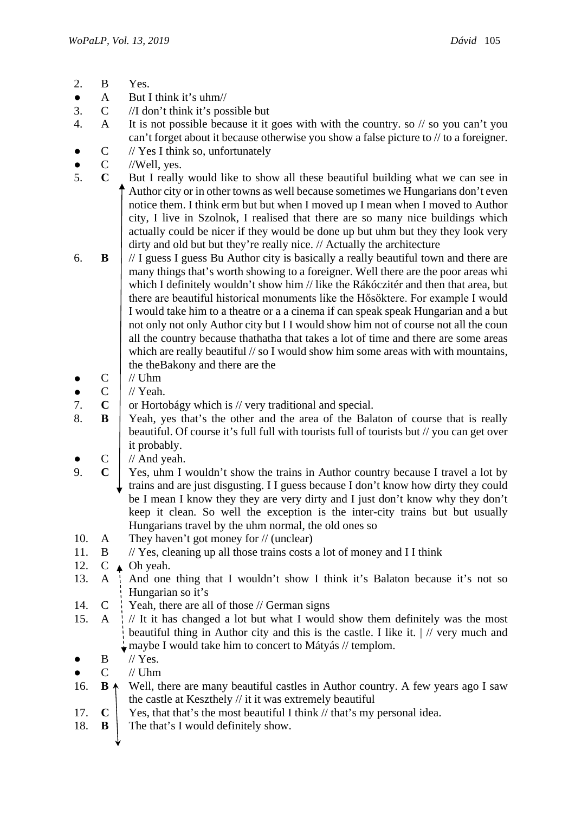- 2. B Yes.
- $\bullet$  A But I think it's uhm//
- 3. C //I don't think it's possible but
- 4. A It is not possible because it it goes with with the country. so // so you can't you can't forget about it because otherwise you show a false picture to // to a foreigner.
- C // Yes I think so, unfortunately
- $\bullet$  C //Well, yes.
- 5. **C** But I really would like to show all these beautiful building what we can see in Author city or in other towns as well because sometimes we Hungarians don't even notice them. I think erm but but when I moved up I mean when I moved to Author city, I live in Szolnok, I realised that there are so many nice buildings which actually could be nicer if they would be done up but uhm but they they look very dirty and old but but they're really nice. // Actually the architecture
- 6. **B** // I guess I guess Bu Author city is basically a really beautiful town and there are many things that's worth showing to a foreigner. Well there are the poor areas whi which I definitely wouldn't show him // like the Rákóczitér and then that area, but there are beautiful historical monuments like the Hősöktere. For example I would I would take him to a theatre or a a cinema if can speak speak Hungarian and a but not only not only Author city but I I would show him not of course not all the coun all the country because thathatha that takes a lot of time and there are some areas which are really beautiful // so I would show him some areas with with mountains, the theBakony and there are the
- $\bullet$  C  $\mid$  // Uhm
- $\bullet$  C  $\mid$  // Yeah.
- 7. **C** or Hortobágy which is // very traditional and special.
- 8. **B** Yeah, yes that's the other and the area of the Balaton of course that is really beautiful. Of course it's full full with tourists full of tourists but // you can get over it probably.
- $C$  // And yeah.
- 9. **C** Yes, uhm I wouldn't show the trains in Author country because I travel a lot by trains and are just disgusting. I I guess because I don't know how dirty they could be I mean I know they they are very dirty and I just don't know why they don't keep it clean. So well the exception is the inter-city trains but but usually Hungarians travel by the uhm normal, the old ones so
- 10. A They haven't got money for // (unclear)
- 11.  $\cdot$  B // Yes, cleaning up all those trains costs a lot of money and I I think
- 12. C  $\triangle$  Oh yeah.
- 13. A  $\rightarrow$  And one thing that I wouldn't show I think it's Balaton because it's not so Hungarian so it's
- 14.  $C \cdot$  Yeah, there are all of those // German signs
- 15. A  $\frac{1}{4}$  // It it has changed a lot but what I would show them definitely was the most beautiful thing in Author city and this is the castle. I like it.  $\frac{1}{1}$  very much and  $\frac{1}{2}$  maybe I would take him to concert to Mátyás // templom.
- $\bullet$  B // Yes.
- $C$  // Uhm
- 16. **B**  $\uparrow$  Well, there are many beautiful castles in Author country. A few years ago I saw the castle at Keszthely // it it was extremely beautiful
- 17. **C** Yes, that that's the most beautiful I think  $\#$  that's my personal idea.
- 18.  $\bf{B}$  The that's I would definitely show.
	-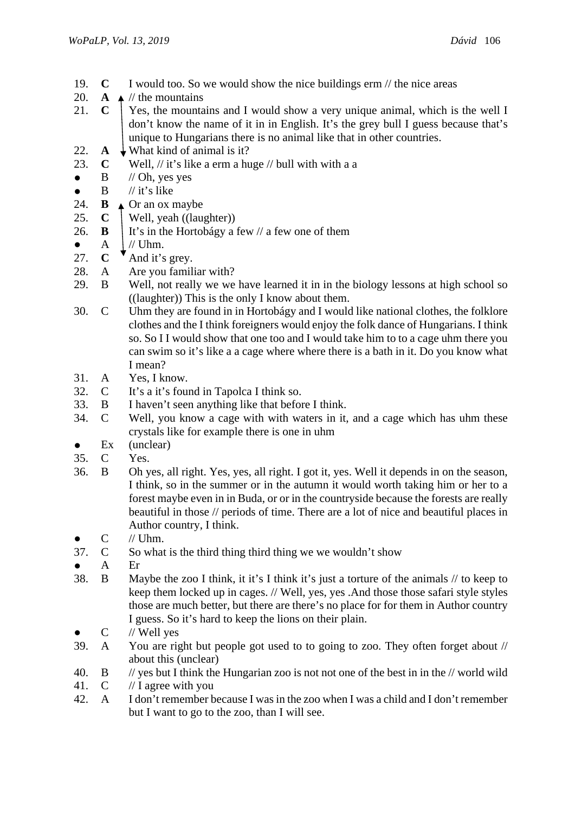- 19. **C** I would too. So we would show the nice buildings erm // the nice areas
- 20. **A**  $\neq$  // the mountains
- 21. **C** Yes, the mountains and I would show a very unique animal, which is the well I don't know the name of it in in English. It's the grey bull I guess because that's unique to Hungarians there is no animal like that in other countries.
- 22. **A**  $\downarrow$  What kind of animal is it?
- 23. **C** Well, // it's like a erm a huge // bull with with a a
- $\bullet$  B // Oh, yes yes
- $\bullet$  B // it's like
- 24. **B**  $\triangle$  Or an ox maybe
- 25.  $\mathbf{C}$  | Well, yeah ((laughter))
- 26. **B** It's in the Hortobágy a few  $\frac{1}{a}$  few one of them
- $\begin{array}{cc}\n\bullet & A \\
\hline\n27 & \n\end{array}\n\begin{array}{c}\n\downarrow \text{if the number of times } B \\
\hline\n\end{array}$
- 27. **C** And it's grey.
- 28. A Are you familiar with?
- 29. B Well, not really we we have learned it in in the biology lessons at high school so ((laughter)) This is the only I know about them.
- 30. C Uhm they are found in in Hortobágy and I would like national clothes, the folklore clothes and the I think foreigners would enjoy the folk dance of Hungarians. I think so. So I I would show that one too and I would take him to to a cage uhm there you can swim so it's like a a cage where where there is a bath in it. Do you know what I mean?
- 31. A Yes, I know.
- 32. C It's a it's found in Tapolca I think so.
- 33. B I haven't seen anything like that before I think.
- 34. C Well, you know a cage with with waters in it, and a cage which has uhm these crystals like for example there is one in uhm
- Ex (unclear)
- 35. C Yes.
- 36. B Oh yes, all right. Yes, yes, all right. I got it, yes. Well it depends in on the season, I think, so in the summer or in the autumn it would worth taking him or her to a forest maybe even in in Buda, or or in the countryside because the forests are really beautiful in those // periods of time. There are a lot of nice and beautiful places in Author country, I think.
- $C$  // Uhm.
- 37. C So what is the third thing third thing we we wouldn't show
- A Er
- 38. B Maybe the zoo I think, it it's I think it's just a torture of the animals // to keep to keep them locked up in cages. // Well, yes, yes .And those those safari style styles those are much better, but there are there's no place for for them in Author country I guess. So it's hard to keep the lions on their plain.
- $C$  // Well yes
- 39. A You are right but people got used to to going to zoo. They often forget about // about this (unclear)
- 40. B // yes but I think the Hungarian zoo is not not one of the best in in the // world wild
- 41. C // I agree with you
- 42. A I don't remember because I was in the zoo when I was a child and I don't remember but I want to go to the zoo, than I will see.